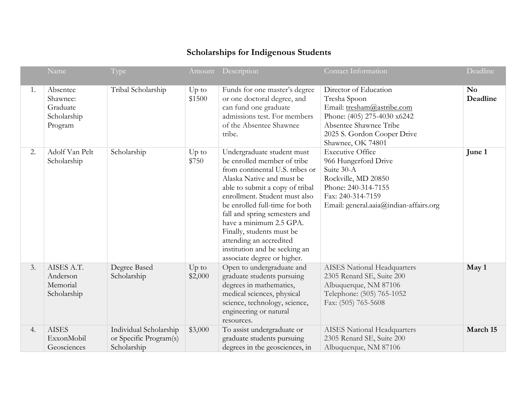## **Scholarships for Indigenous Students**

|    | Name                                                       | Type                                                            |                    | Amount Description                                                                                                                                                                                                                                                                                                                                                                                                  | Contact Information                                                                                                                                                              | Deadline                   |
|----|------------------------------------------------------------|-----------------------------------------------------------------|--------------------|---------------------------------------------------------------------------------------------------------------------------------------------------------------------------------------------------------------------------------------------------------------------------------------------------------------------------------------------------------------------------------------------------------------------|----------------------------------------------------------------------------------------------------------------------------------------------------------------------------------|----------------------------|
| 1. | Absentee<br>Shawnee:<br>Graduate<br>Scholarship<br>Program | Tribal Scholarship                                              | $Up$ to<br>\$1500  | Funds for one master's degree<br>or one doctoral degree, and<br>can fund one graduate<br>admissions test. For members<br>of the Absentee Shawnee<br>tribe.                                                                                                                                                                                                                                                          | Director of Education<br>Tresha Spoon<br>Email: tresham@astribe.com<br>Phone: (405) 275-4030 x6242<br>Absentee Shawnee Tribe<br>2025 S. Gordon Cooper Drive<br>Shawnee, OK 74801 | N <sub>0</sub><br>Deadline |
| 2. | Adolf Van Pelt<br>Scholarship                              | Scholarship                                                     | $Up$ to<br>\$750   | Undergraduate student must<br>be enrolled member of tribe<br>from continental U.S. tribes or<br>Alaska Native and must be<br>able to submit a copy of tribal<br>enrollment. Student must also<br>be enrolled full-time for both<br>fall and spring semesters and<br>have a minimum 2.5 GPA.<br>Finally, students must be<br>attending an accredited<br>institution and be seeking an<br>associate degree or higher. | <b>Executive Office</b><br>966 Hungerford Drive<br>Suite 30-A<br>Rockville, MD 20850<br>Phone: 240-314-7155<br>Fax: 240-314-7159<br>Email: general.aaia@indian-affairs.org       | June 1                     |
| 3. | AISES A.T.<br>Anderson<br>Memorial<br>Scholarship          | Degree Based<br>Scholarship                                     | $Up$ to<br>\$2,000 | Open to undergraduate and<br>graduate students pursuing<br>degrees in mathematics,<br>medical sciences, physical<br>science, technology, science,<br>engineering or natural<br>resources.                                                                                                                                                                                                                           | <b>AISES</b> National Headquarters<br>2305 Renard SE, Suite 200<br>Albuquerque, NM 87106<br>Telephone: (505) 765-1052<br>Fax: (505) 765-5608                                     | May 1                      |
| 4. | <b>AISES</b><br>ExxonMobil<br>Geosciences                  | Individual Scholarship<br>or Specific Program(s)<br>Scholarship | \$3,000            | To assist undergraduate or<br>graduate students pursuing<br>degrees in the geosciences, in                                                                                                                                                                                                                                                                                                                          | <b>AISES</b> National Headquarters<br>2305 Renard SE, Suite 200<br>Albuquerque, NM 87106                                                                                         | March 15                   |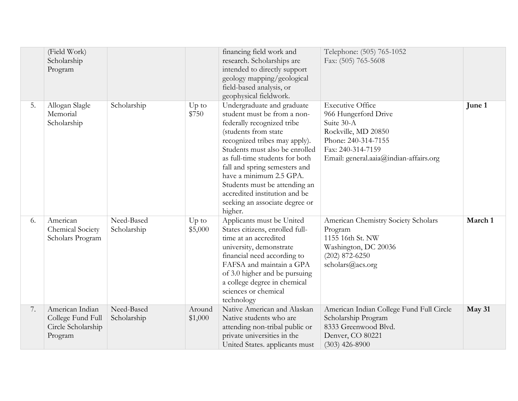|    | (Field Work)<br>Scholarship<br>Program                                |                           |                   | financing field work and<br>research. Scholarships are<br>intended to directly support<br>geology mapping/geological<br>field-based analysis, or<br>geophysical fieldwork.                                                                                                                                                                                                                      | Telephone: (505) 765-1052<br>Fax: (505) 765-5608                                                                                                                           |         |
|----|-----------------------------------------------------------------------|---------------------------|-------------------|-------------------------------------------------------------------------------------------------------------------------------------------------------------------------------------------------------------------------------------------------------------------------------------------------------------------------------------------------------------------------------------------------|----------------------------------------------------------------------------------------------------------------------------------------------------------------------------|---------|
| 5. | Allogan Slagle<br>Memorial<br>Scholarship                             | Scholarship               | $Up$ to<br>\$750  | Undergraduate and graduate<br>student must be from a non-<br>federally recognized tribe<br>(students from state<br>recognized tribes may apply).<br>Students must also be enrolled<br>as full-time students for both<br>fall and spring semesters and<br>have a minimum 2.5 GPA.<br>Students must be attending an<br>accredited institution and be<br>seeking an associate degree or<br>higher. | <b>Executive Office</b><br>966 Hungerford Drive<br>Suite 30-A<br>Rockville, MD 20850<br>Phone: 240-314-7155<br>Fax: 240-314-7159<br>Email: general.aaia@indian-affairs.org | June 1  |
| 6. | American<br>Chemical Society<br>Scholars Program                      | Need-Based<br>Scholarship | Up to<br>\$5,000  | Applicants must be United<br>States citizens, enrolled full-<br>time at an accredited<br>university, demonstrate<br>financial need according to<br>FAFSA and maintain a GPA<br>of 3.0 higher and be pursuing<br>a college degree in chemical<br>sciences or chemical<br>technology                                                                                                              | American Chemistry Society Scholars<br>Program<br>1155 16th St. NW<br>Washington, DC 20036<br>$(202)$ 872-6250<br>scholars@acs.org                                         | March 1 |
| 7. | American Indian<br>College Fund Full<br>Circle Scholarship<br>Program | Need-Based<br>Scholarship | Around<br>\$1,000 | Native American and Alaskan<br>Native students who are<br>attending non-tribal public or<br>private universities in the<br>United States. applicants must                                                                                                                                                                                                                                       | American Indian College Fund Full Circle<br>Scholarship Program<br>8333 Greenwood Blvd.<br>Denver, CO 80221<br>$(303)$ 426-8900                                            | May 31  |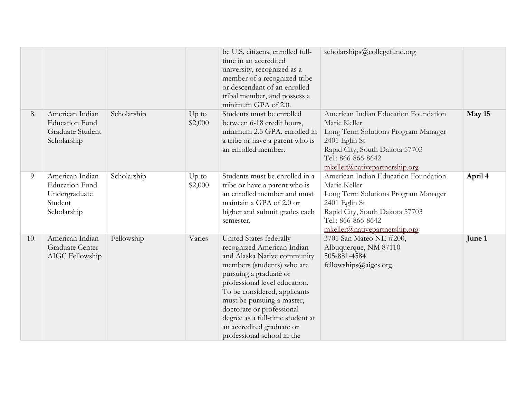|     |                                                                                     |             |                    | be U.S. citizens, enrolled full-<br>time in an accredited<br>university, recognized as a<br>member of a recognized tribe<br>or descendant of an enrolled<br>tribal member, and possess a<br>minimum GPA of 2.0.                                                                                                                                                         | scholarships@collegefund.org                                                                                                                                                                          |         |
|-----|-------------------------------------------------------------------------------------|-------------|--------------------|-------------------------------------------------------------------------------------------------------------------------------------------------------------------------------------------------------------------------------------------------------------------------------------------------------------------------------------------------------------------------|-------------------------------------------------------------------------------------------------------------------------------------------------------------------------------------------------------|---------|
| 8.  | American Indian<br><b>Education Fund</b><br>Graduate Student<br>Scholarship         | Scholarship | Up to<br>\$2,000   | Students must be enrolled<br>between 6-18 credit hours,<br>minimum 2.5 GPA, enrolled in<br>a tribe or have a parent who is<br>an enrolled member.                                                                                                                                                                                                                       | American Indian Education Foundation<br>Marie Keller<br>Long Term Solutions Program Manager<br>2401 Eglin St<br>Rapid City, South Dakota 57703<br>Tel.: 866-866-8642<br>mkeller@nativepartnership.org | May 15  |
| 9.  | American Indian<br><b>Education Fund</b><br>Undergraduate<br>Student<br>Scholarship | Scholarship | $Up$ to<br>\$2,000 | Students must be enrolled in a<br>tribe or have a parent who is<br>an enrolled member and must<br>maintain a GPA of 2.0 or<br>higher and submit grades each<br>semester.                                                                                                                                                                                                | American Indian Education Foundation<br>Marie Keller<br>Long Term Solutions Program Manager<br>2401 Eglin St<br>Rapid City, South Dakota 57703<br>Tel.: 866-866-8642<br>mkeller@nativepartnership.org | April 4 |
| 10. | American Indian<br>Graduate Center<br>AIGC Fellowship                               | Fellowship  | Varies             | United States federally<br>recognized American Indian<br>and Alaska Native community<br>members (students) who are<br>pursuing a graduate or<br>professional level education.<br>To be considered, applicants<br>must be pursuing a master,<br>doctorate or professional<br>degree as a full-time student at<br>an accredited graduate or<br>professional school in the | 3701 San Mateo NE #200,<br>Albuquerque, NM 87110<br>505-881-4584<br>fellowships@aigcs.org.                                                                                                            | June 1  |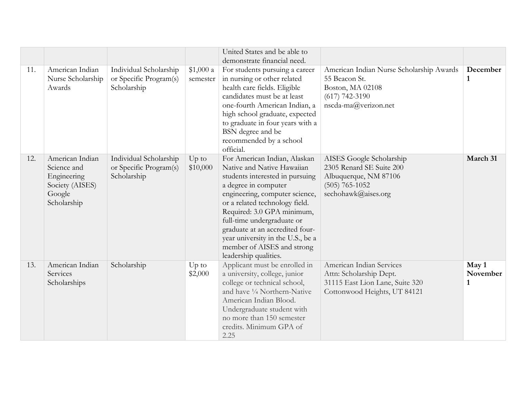|     |                                                                                           |                                                                 |                       | United States and be able to<br>demonstrate financial need.                                                                                                                                                                                                                                                                                                                          |                                                                                                                           |                          |
|-----|-------------------------------------------------------------------------------------------|-----------------------------------------------------------------|-----------------------|--------------------------------------------------------------------------------------------------------------------------------------------------------------------------------------------------------------------------------------------------------------------------------------------------------------------------------------------------------------------------------------|---------------------------------------------------------------------------------------------------------------------------|--------------------------|
| 11. | American Indian<br>Nurse Scholarship<br>Awards                                            | Individual Scholarship<br>or Specific Program(s)<br>Scholarship | \$1,000 a<br>semester | For students pursuing a career<br>in nursing or other related<br>health care fields. Eligible<br>candidates must be at least<br>one-fourth American Indian, a<br>high school graduate, expected<br>to graduate in four years with a<br>BSN degree and be<br>recommended by a school<br>official.                                                                                     | American Indian Nurse Scholarship Awards<br>55 Beacon St.<br>Boston, MA 02108<br>$(617)$ 742-3190<br>nscda-ma@verizon.net | December<br>$\mathbf{1}$ |
| 12. | American Indian<br>Science and<br>Engineering<br>Society (AISES)<br>Google<br>Scholarship | Individual Scholarship<br>or Specific Program(s)<br>Scholarship | Up to<br>\$10,000     | For American Indian, Alaskan<br>Native and Native Hawaiian<br>students interested in pursuing<br>a degree in computer<br>engineering, computer science,<br>or a related technology field.<br>Required: 3.0 GPA minimum,<br>full-time undergraduate or<br>graduate at an accredited four-<br>year university in the U.S., be a<br>member of AISES and strong<br>leadership qualities. | AISES Google Scholarship<br>2305 Renard SE Suite 200<br>Albuquerque, NM 87106<br>$(505)$ 765-1052<br>sechohawk@aises.org  | March 31                 |
| 13. | American Indian<br>Services<br>Scholarships                                               | Scholarship                                                     | $Up$ to<br>\$2,000    | Applicant must be enrolled in<br>a university, college, junior<br>college or technical school,<br>and have 1/4 Northern-Native<br>American Indian Blood.<br>Undergraduate student with<br>no more than 150 semester<br>credits. Minimum GPA of<br>2.25                                                                                                                               | American Indian Services<br>Attn: Scholarship Dept.<br>31115 East Lion Lane, Suite 320<br>Cottonwood Heights, UT 84121    | May 1<br>November<br>1   |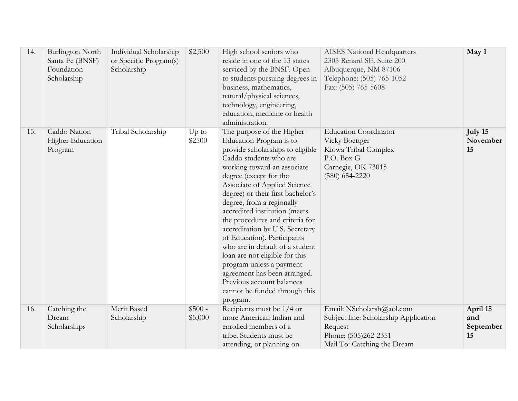| 14. | <b>Burlington North</b><br>Santa Fe (BNSF)<br>Foundation<br>Scholarship | Individual Scholarship<br>or Specific Program(s)<br>Scholarship | \$2,500             | High school seniors who<br>reside in one of the 13 states<br>serviced by the BNSF. Open<br>to students pursuing degrees in<br>business, mathematics,<br>natural/physical sciences,<br>technology, engineering,<br>education, medicine or health<br>administration.                                                                                                                                                                                                                                                                                                                                                             | <b>AISES</b> National Headquarters<br>2305 Renard SE, Suite 200<br>Albuquerque, NM 87106<br>Telephone: (505) 765-1052<br>Fax: (505) 765-5608 | May 1                              |
|-----|-------------------------------------------------------------------------|-----------------------------------------------------------------|---------------------|--------------------------------------------------------------------------------------------------------------------------------------------------------------------------------------------------------------------------------------------------------------------------------------------------------------------------------------------------------------------------------------------------------------------------------------------------------------------------------------------------------------------------------------------------------------------------------------------------------------------------------|----------------------------------------------------------------------------------------------------------------------------------------------|------------------------------------|
| 15. | Caddo Nation<br><b>Higher Education</b><br>Program                      | Tribal Scholarship                                              | $Up$ to<br>\$2500   | The purpose of the Higher<br>Education Program is to<br>provide scholarships to eligible<br>Caddo students who are<br>working toward an associate<br>degree (except for the<br>Associate of Applied Science<br>degree) or their first bachelor's<br>degree, from a regionally<br>accredited institution (meets<br>the procedures and criteria for<br>accreditation by U.S. Secretary<br>of Education). Participants<br>who are in default of a student<br>loan are not eligible for this<br>program unless a payment<br>agreement has been arranged.<br>Previous account balances<br>cannot be funded through this<br>program. | <b>Education Coordinator</b><br>Vicky Boettger<br>Kiowa Tribal Complex<br>P.O. Box G<br>Carnegie, OK 73015<br>$(580)$ 654-2220               | July 15<br>November<br>15          |
| 16. | Catching the<br>Dream<br>Scholarships                                   | Merit Based<br>Scholarship                                      | $$500 -$<br>\$5,000 | Recipients must be 1/4 or<br>more American Indian and<br>enrolled members of a<br>tribe. Students must be<br>attending, or planning on                                                                                                                                                                                                                                                                                                                                                                                                                                                                                         | Email: NScholarsh@aol.com<br>Subject line: Scholarship Application<br>Request<br>Phone: (505)262-2351<br>Mail To: Catching the Dream         | April 15<br>and<br>September<br>15 |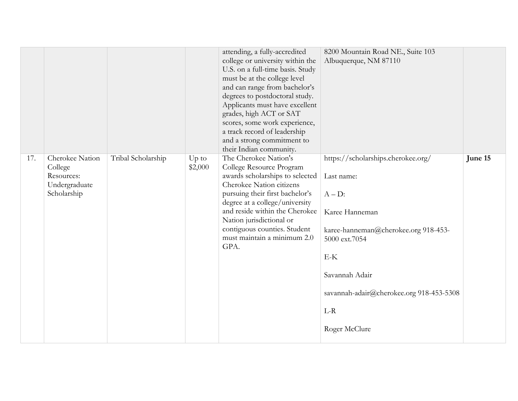|     |                                                                          |                    |                  | attending, a fully-accredited<br>college or university within the<br>U.S. on a full-time basis. Study<br>must be at the college level<br>and can range from bachelor's<br>degrees to postdoctoral study.<br>Applicants must have excellent<br>grades, high ACT or SAT<br>scores, some work experience,<br>a track record of leadership<br>and a strong commitment to<br>their Indian community. | 8200 Mountain Road NE., Suite 103<br>Albuquerque, NM 87110                                                                                                                                                                                |         |
|-----|--------------------------------------------------------------------------|--------------------|------------------|-------------------------------------------------------------------------------------------------------------------------------------------------------------------------------------------------------------------------------------------------------------------------------------------------------------------------------------------------------------------------------------------------|-------------------------------------------------------------------------------------------------------------------------------------------------------------------------------------------------------------------------------------------|---------|
| 17. | Cherokee Nation<br>College<br>Resources:<br>Undergraduate<br>Scholarship | Tribal Scholarship | Up to<br>\$2,000 | The Cherokee Nation's<br>College Resource Program<br>awards scholarships to selected<br>Cherokee Nation citizens<br>pursuing their first bachelor's<br>degree at a college/university<br>and reside within the Cherokee<br>Nation jurisdictional or<br>contiguous counties. Student<br>must maintain a minimum 2.0<br>GPA.                                                                      | https://scholarships.cherokee.org/<br>Last name:<br>$A - D$ :<br>Karee Hanneman<br>karee-hanneman@cherokee.org 918-453-<br>5000 ext.7054<br>$E-K$<br>Savannah Adair<br>savannah-adair@cherokee.org 918-453-5308<br>$L-R$<br>Roger McClure | June 15 |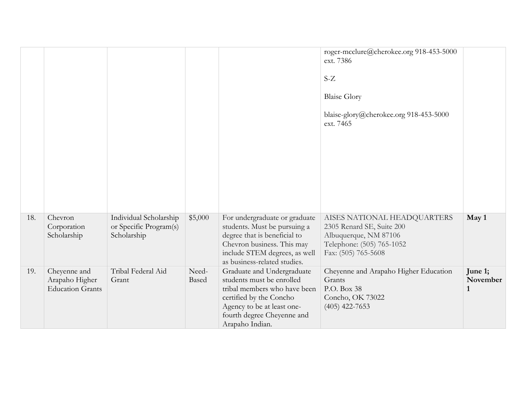|     |                                                           |                                                                 |                |                                                                                                                                                                                                   | roger-mcclure@cherokee.org 918-453-5000<br>ext. 7386<br>$S-Z$<br><b>Blaise Glory</b><br>blaise-glory@cherokee.org 918-453-5000<br>ext. 7465 |                                     |
|-----|-----------------------------------------------------------|-----------------------------------------------------------------|----------------|---------------------------------------------------------------------------------------------------------------------------------------------------------------------------------------------------|---------------------------------------------------------------------------------------------------------------------------------------------|-------------------------------------|
| 18. | Chevron<br>Corporation<br>Scholarship                     | Individual Scholarship<br>or Specific Program(s)<br>Scholarship | \$5,000        | For undergraduate or graduate<br>students. Must be pursuing a<br>degree that is beneficial to<br>Chevron business. This may<br>include STEM degrees, as well<br>as business-related studies.      | AISES NATIONAL HEADQUARTERS<br>2305 Renard SE, Suite 200<br>Albuquerque, NM 87106<br>Telephone: (505) 765-1052<br>Fax: (505) 765-5608       | May 1                               |
| 19. | Cheyenne and<br>Arapaho Higher<br><b>Education Grants</b> | Tribal Federal Aid<br>Grant                                     | Need-<br>Based | Graduate and Undergraduate<br>students must be enrolled<br>tribal members who have been<br>certified by the Concho<br>Agency to be at least one-<br>fourth degree Cheyenne and<br>Arapaho Indian. | Cheyenne and Arapaho Higher Education<br>Grants<br>P.O. Box 38<br>Concho, OK 73022<br>$(405)$ 422-7653                                      | June 1;<br>November<br>$\mathbf{1}$ |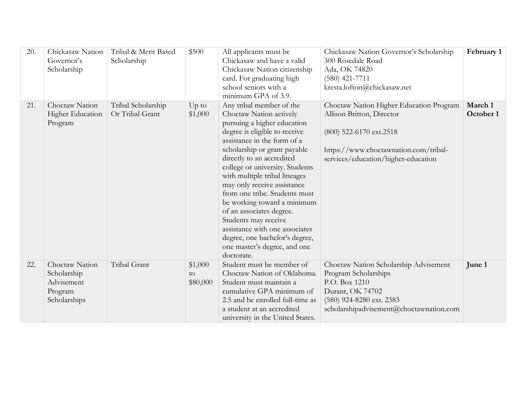| 20. | Chickasaw Nation<br>Governor's<br>Scholarship                          | Tribal & Merit Based<br>Scholarship   | \$500                     | All applicants must be<br>Chickasaw and have a valid<br>Chickasaw Nation citizenship<br>card. For graduating high<br>school seniors with a<br>minimum GPA of 3.9.                                                                                                                                                                                                                                                                                                                                                                                        | Chickasaw Nation Governor's Scholarship<br>300 Rosedale Road<br>Ada, OK 74820<br>$(580)$ 421-7711<br>kresta.lofton@chickasaw.net                                                | February 1           |
|-----|------------------------------------------------------------------------|---------------------------------------|---------------------------|----------------------------------------------------------------------------------------------------------------------------------------------------------------------------------------------------------------------------------------------------------------------------------------------------------------------------------------------------------------------------------------------------------------------------------------------------------------------------------------------------------------------------------------------------------|---------------------------------------------------------------------------------------------------------------------------------------------------------------------------------|----------------------|
| 21. | Choctaw Nation<br><b>Higher Education</b><br>Program                   | Tribal Scholarship<br>Or Tribal Grant | Up to<br>\$1,000          | Any tribal member of the<br>Choctaw Nation actively<br>pursuing a higher education<br>degree is eligible to receive<br>assistance in the form of a<br>scholarship or grant payable<br>directly to an accredited<br>college or university. Students<br>with multiple tribal lineages<br>may only receive assistance<br>from one tribe. Students must<br>be working toward a minimum<br>of an associates degree.<br>Students may receive<br>assistance with one associates<br>degree, one bachelor's degree,<br>one master's degree, and one<br>doctorate. | Choctaw Nation Higher Education Program<br>Allison Britton, Director<br>(800) 522-6170 ext.2518<br>https://www.choctawnation.com/tribal-<br>services/education/higher-education | March 1<br>October 1 |
| 22. | Choctaw Nation<br>Scholarship<br>Advisement<br>Program<br>Scholarships | Tribal Grant                          | \$1,000<br>to<br>\$80,000 | Student must be member of<br>Choctaw Nation of Oklahoma.<br>Student must maintain a<br>cumulative GPA minimum of<br>2.5 and be enrolled full-time as<br>a student at an accredited<br>university in the United States.                                                                                                                                                                                                                                                                                                                                   | Choctaw Nation Scholarship Advisement<br>Program Scholarships<br>P.O. Box 1210<br>Durant, OK 74702<br>(580) 924-8280 ext. 2383<br>scholarshipadvisement@choctawnation.com       | June 1               |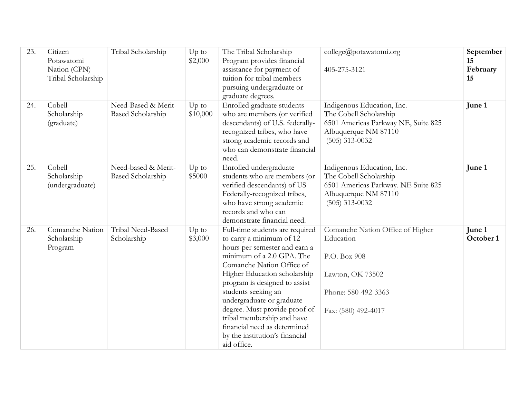| 23. | Citizen<br>Potawatomi<br>Nation (CPN)<br>Tribal Scholarship | Tribal Scholarship                              | Up to<br>\$2,000    | The Tribal Scholarship<br>Program provides financial<br>assistance for payment of<br>tuition for tribal members<br>pursuing undergraduate or<br>graduate degrees.                                                                                                                                                                                                                                                           | college@potawatomi.org<br>405-275-3121                                                                                                  | September<br>15<br>February<br>15 |
|-----|-------------------------------------------------------------|-------------------------------------------------|---------------------|-----------------------------------------------------------------------------------------------------------------------------------------------------------------------------------------------------------------------------------------------------------------------------------------------------------------------------------------------------------------------------------------------------------------------------|-----------------------------------------------------------------------------------------------------------------------------------------|-----------------------------------|
| 24. | Cobell<br>Scholarship<br>(graduate)                         | Need-Based & Merit-<br><b>Based Scholarship</b> | $Up$ to<br>\$10,000 | Enrolled graduate students<br>who are members (or verified<br>descendants) of U.S. federally-<br>recognized tribes, who have<br>strong academic records and<br>who can demonstrate financial<br>need.                                                                                                                                                                                                                       | Indigenous Education, Inc.<br>The Cobell Scholarship<br>6501 Americas Parkway NE, Suite 825<br>Albuquerque NM 87110<br>$(505)$ 313-0032 | June 1                            |
| 25. | Cobell<br>Scholarship<br>(undergraduate)                    | Need-based & Merit-<br><b>Based Scholarship</b> | Up to<br>\$5000     | Enrolled undergraduate<br>students who are members (or<br>verified descendants) of US<br>Federally-recognized tribes,<br>who have strong academic<br>records and who can<br>demonstrate financial need.                                                                                                                                                                                                                     | Indigenous Education, Inc.<br>The Cobell Scholarship<br>6501 Americas Parkway. NE Suite 825<br>Albuquerque NM 87110<br>$(505)$ 313-0032 | June 1                            |
| 26. | Comanche Nation<br>Scholarship<br>Program                   | Tribal Need-Based<br>Scholarship                | $Up$ to<br>\$3,000  | Full-time students are required<br>to carry a minimum of 12<br>hours per semester and earn a<br>minimum of a 2.0 GPA. The<br>Comanche Nation Office of<br>Higher Education scholarship<br>program is designed to assist<br>students seeking an<br>undergraduate or graduate<br>degree. Must provide proof of<br>tribal membership and have<br>financial need as determined<br>by the institution's financial<br>aid office. | Comanche Nation Office of Higher<br>Education<br>P.O. Box 908<br>Lawton, OK 73502<br>Phone: 580-492-3363<br>Fax: (580) 492-4017         | June 1<br>October 1               |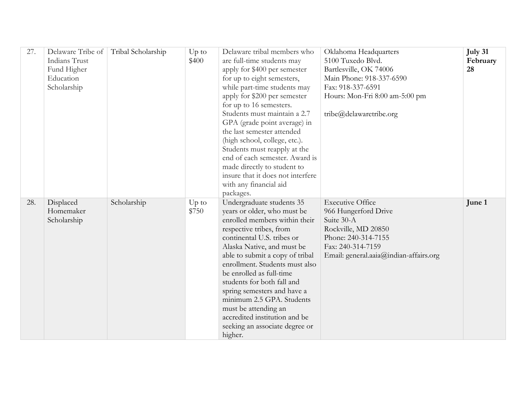| 27. | Delaware Tribe of<br>Indians Trust<br>Fund Higher<br>Education<br>Scholarship | Tribal Scholarship | $Up$ to<br>\$400 | Delaware tribal members who<br>are full-time students may<br>apply for \$400 per semester<br>for up to eight semesters,<br>while part-time students may<br>apply for \$200 per semester<br>for up to 16 semesters.<br>Students must maintain a 2.7<br>GPA (grade point average) in<br>the last semester attended<br>(high school, college, etc.).<br>Students must reapply at the<br>end of each semester. Award is<br>made directly to student to<br>insure that it does not interfere<br>with any financial aid<br>packages. | Oklahoma Headquarters<br>5100 Tuxedo Blvd.<br>Bartlesville, OK 74006<br>Main Phone: 918-337-6590<br>Fax: 918-337-6591<br>Hours: Mon-Fri 8:00 am-5:00 pm<br>tribe@delawaretribe.org | July 31<br>February<br>28 |
|-----|-------------------------------------------------------------------------------|--------------------|------------------|--------------------------------------------------------------------------------------------------------------------------------------------------------------------------------------------------------------------------------------------------------------------------------------------------------------------------------------------------------------------------------------------------------------------------------------------------------------------------------------------------------------------------------|------------------------------------------------------------------------------------------------------------------------------------------------------------------------------------|---------------------------|
| 28. | Displaced<br>Homemaker<br>Scholarship                                         | Scholarship        | $Up$ to<br>\$750 | Undergraduate students 35<br>years or older, who must be<br>enrolled members within their<br>respective tribes, from<br>continental U.S. tribes or<br>Alaska Native, and must be<br>able to submit a copy of tribal<br>enrollment. Students must also<br>be enrolled as full-time<br>students for both fall and<br>spring semesters and have a<br>minimum 2.5 GPA. Students<br>must be attending an<br>accredited institution and be<br>seeking an associate degree or<br>higher.                                              | <b>Executive Office</b><br>966 Hungerford Drive<br>Suite 30-A<br>Rockville, MD 20850<br>Phone: 240-314-7155<br>Fax: 240-314-7159<br>Email: general.aaia@indian-affairs.org         | June 1                    |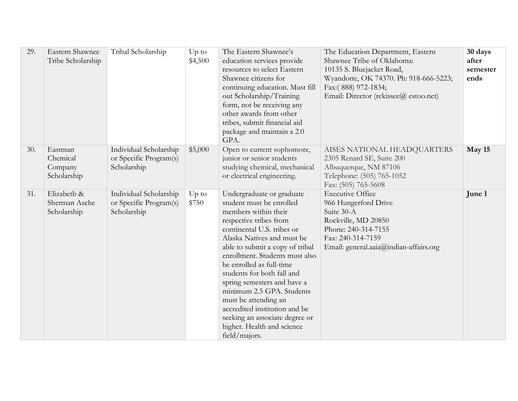| 29. | Eastern Shawnee<br>Tribe Scholarship          | Tribal Scholarship                                              | $Up$ to<br>\$4,500 | The Eastern Shawnee's<br>education services provide<br>resources to select Eastern<br>Shawnee citizens for<br>continuing education. Must fill<br>out Scholarship/Training<br>form, not be receiving any<br>other awards from other<br>tribes, submit financial aid<br>package and maintain a 2.0<br>GPA.                                                                                                                                                                                                 | The Education Department, Eastern<br>Shawnee Tribe of Oklahoma:<br>10135 S. Bluejacket Road,<br>Wyandotte, OK 74370. Ph: 918-666-5223;<br>Fax:(888) 972-1834;<br>Email: Director (rckissee@ estoo.net) | 30 days<br>after<br>semester<br>ends |
|-----|-----------------------------------------------|-----------------------------------------------------------------|--------------------|----------------------------------------------------------------------------------------------------------------------------------------------------------------------------------------------------------------------------------------------------------------------------------------------------------------------------------------------------------------------------------------------------------------------------------------------------------------------------------------------------------|--------------------------------------------------------------------------------------------------------------------------------------------------------------------------------------------------------|--------------------------------------|
| 30. | Eastman<br>Chemical<br>Company<br>Scholarship | Individual Scholarship<br>or Specific Program(s)<br>Scholarship | \$5,000            | Open to current sophomore,<br>junior or senior students<br>studying chemical, mechanical<br>or electrical engineering.                                                                                                                                                                                                                                                                                                                                                                                   | AISES NATIONAL HEADQUARTERS<br>2305 Renard SE, Suite 200<br>Albuquerque, NM 87106<br>Telephone: (505) 765-1052<br>Fax: (505) 765-5608                                                                  | May 15                               |
| 31. | Elizabeth &<br>Sherman Asche<br>Scholarship   | Individual Scholarship<br>or Specific Program(s)<br>Scholarship | $Up$ to<br>\$750   | Undergraduate or graduate<br>student must be enrolled<br>members within their<br>respective tribes from<br>continental U.S. tribes or<br>Alaska Natives and must be<br>able to submit a copy of tribal<br>enrollment. Students must also<br>be enrolled as full-time<br>students for both fall and<br>spring semesters and have a<br>minimum 2.5 GPA. Students<br>must be attending an<br>accredited institution and be<br>seeking an associate degree or<br>higher. Health and science<br>field/majors. | <b>Executive Office</b><br>966 Hungerford Drive<br>Suite 30-A<br>Rockville, MD 20850<br>Phone: 240-314-7155<br>Fax: 240-314-7159<br>Email: general.aaia@indian-affairs.org                             | June 1                               |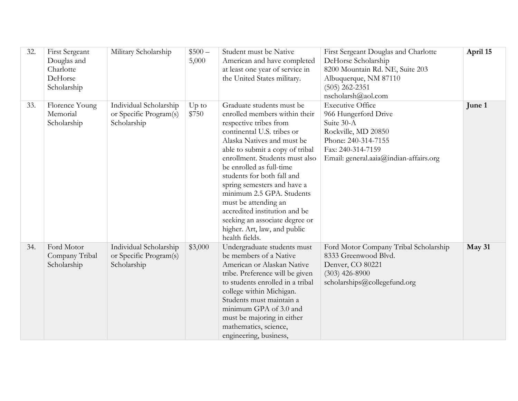| 32. | <b>First Sergeant</b><br>Douglas and<br>Charlotte<br>DeHorse<br>Scholarship | Military Scholarship                                            | $$500-$<br>5,000 | Student must be Native<br>American and have completed<br>at least one year of service in<br>the United States military.                                                                                                                                                                                                                                                                                                                                                                  | First Sergeant Douglas and Charlotte<br>DeHorse Scholarship<br>8200 Mountain Rd. NE, Suite 203<br>Albuquerque, NM 87110<br>$(505)$ 262-2351<br>nscholarsh@aol.com          | April 15 |
|-----|-----------------------------------------------------------------------------|-----------------------------------------------------------------|------------------|------------------------------------------------------------------------------------------------------------------------------------------------------------------------------------------------------------------------------------------------------------------------------------------------------------------------------------------------------------------------------------------------------------------------------------------------------------------------------------------|----------------------------------------------------------------------------------------------------------------------------------------------------------------------------|----------|
| 33. | Florence Young<br>Memorial<br>Scholarship                                   | Individual Scholarship<br>or Specific Program(s)<br>Scholarship | Up to<br>\$750   | Graduate students must be<br>enrolled members within their<br>respective tribes from<br>continental U.S. tribes or<br>Alaska Natives and must be<br>able to submit a copy of tribal<br>enrollment. Students must also<br>be enrolled as full-time<br>students for both fall and<br>spring semesters and have a<br>minimum 2.5 GPA. Students<br>must be attending an<br>accredited institution and be<br>seeking an associate degree or<br>higher. Art, law, and public<br>health fields. | <b>Executive Office</b><br>966 Hungerford Drive<br>Suite 30-A<br>Rockville, MD 20850<br>Phone: 240-314-7155<br>Fax: 240-314-7159<br>Email: general.aaia@indian-affairs.org | June 1   |
| 34. | Ford Motor<br>Company Tribal<br>Scholarship                                 | Individual Scholarship<br>or Specific Program(s)<br>Scholarship | \$3,000          | Undergraduate students must<br>be members of a Native<br>American or Alaskan Native<br>tribe. Preference will be given<br>to students enrolled in a tribal<br>college within Michigan.<br>Students must maintain a<br>minimum GPA of 3.0 and<br>must be majoring in either<br>mathematics, science,<br>engineering, business,                                                                                                                                                            | Ford Motor Company Tribal Scholarship<br>8333 Greenwood Blvd.<br>Denver, CO 80221<br>$(303)$ 426-8900<br>scholarships@collegefund.org                                      | May 31   |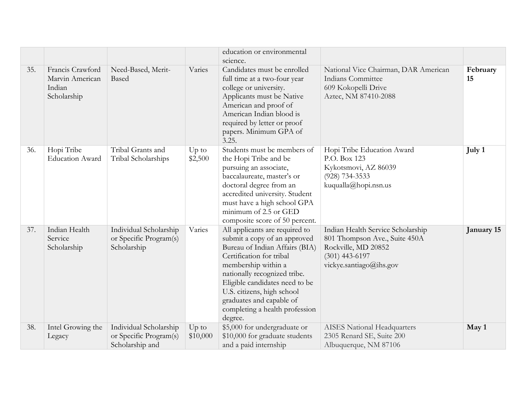|     |                                                              |                                                                     |                     | education or environmental                                                                                                                                                                                                                                                                                                   |                                                                                                                                          |                |
|-----|--------------------------------------------------------------|---------------------------------------------------------------------|---------------------|------------------------------------------------------------------------------------------------------------------------------------------------------------------------------------------------------------------------------------------------------------------------------------------------------------------------------|------------------------------------------------------------------------------------------------------------------------------------------|----------------|
| 35. | Francis Crawford<br>Marvin American<br>Indian<br>Scholarship | Need-Based, Merit-<br>Based                                         | Varies              | science.<br>Candidates must be enrolled<br>full time at a two-four year<br>college or university.<br>Applicants must be Native<br>American and proof of<br>American Indian blood is<br>required by letter or proof<br>papers. Minimum GPA of<br>3.25.                                                                        | National Vice Chairman, DAR American<br>Indians Committee<br>609 Kokopelli Drive<br>Aztec, NM 87410-2088                                 | February<br>15 |
| 36. | Hopi Tribe<br><b>Education Award</b>                         | Tribal Grants and<br>Tribal Scholarships                            | $Up$ to<br>\$2,500  | Students must be members of<br>the Hopi Tribe and be<br>pursuing an associate,<br>baccalaureate, master's or<br>doctoral degree from an<br>accredited university. Student<br>must have a high school GPA<br>minimum of 2.5 or GED<br>composite score of 50 percent.                                                          | Hopi Tribe Education Award<br>P.O. Box 123<br>Kykotsmovi, AZ 86039<br>$(928) 734 - 3533$<br>kuqualla@hopi.nsn.us                         | July 1         |
| 37. | Indian Health<br>Service<br>Scholarship                      | Individual Scholarship<br>or Specific Program(s)<br>Scholarship     | Varies              | All applicants are required to<br>submit a copy of an approved<br>Bureau of Indian Affairs (BIA)<br>Certification for tribal<br>membership within a<br>nationally recognized tribe.<br>Eligible candidates need to be<br>U.S. citizens, high school<br>graduates and capable of<br>completing a health profession<br>degree. | Indian Health Service Scholarship<br>801 Thompson Ave., Suite 450A<br>Rockville, MD 20852<br>$(301)$ 443-6197<br>vickye.santiago@ihs.gov | January 15     |
| 38. | Intel Growing the<br>Legacy                                  | Individual Scholarship<br>or Specific Program(s)<br>Scholarship and | $Up$ to<br>\$10,000 | \$5,000 for undergraduate or<br>\$10,000 for graduate students<br>and a paid internship                                                                                                                                                                                                                                      | <b>AISES</b> National Headquarters<br>2305 Renard SE, Suite 200<br>Albuquerque, NM 87106                                                 | May 1          |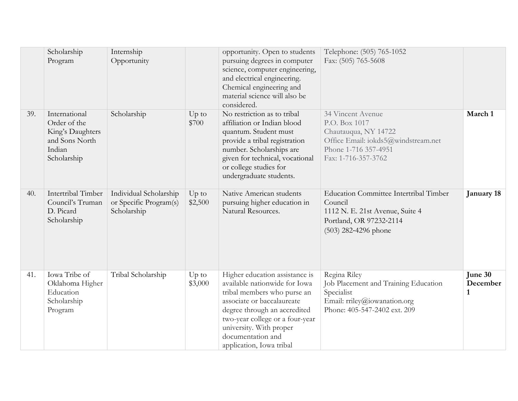|     | Scholarship<br>Program                                                                       | Internship<br>Opportunity                                       |                    | opportunity. Open to students<br>pursuing degrees in computer<br>science, computer engineering,<br>and electrical engineering.<br>Chemical engineering and<br>material science will also be<br>considered.                                                                  | Telephone: (505) 765-1052<br>Fax: (505) 765-5608                                                                                                 |                          |
|-----|----------------------------------------------------------------------------------------------|-----------------------------------------------------------------|--------------------|-----------------------------------------------------------------------------------------------------------------------------------------------------------------------------------------------------------------------------------------------------------------------------|--------------------------------------------------------------------------------------------------------------------------------------------------|--------------------------|
| 39. | International<br>Order of the<br>King's Daughters<br>and Sons North<br>Indian<br>Scholarship | Scholarship                                                     | $Up$ to<br>\$700   | No restriction as to tribal<br>affiliation or Indian blood<br>quantum. Student must<br>provide a tribal registration<br>number. Scholarships are<br>given for technical, vocational<br>or college studies for<br>undergraduate students.                                    | 34 Vincent Avenue<br>P.O. Box 1017<br>Chautauqua, NY 14722<br>Office Email: iokds5@windstream.net<br>Phone 1-716 357-4951<br>Fax: 1-716-357-3762 | March 1                  |
| 40. | Intertribal Timber<br>Council's Truman<br>D. Picard<br>Scholarship                           | Individual Scholarship<br>or Specific Program(s)<br>Scholarship | $Up$ to<br>\$2,500 | Native American students<br>pursuing higher education in<br>Natural Resources.                                                                                                                                                                                              | <b>Education Committee Intertribal Timber</b><br>Council<br>1112 N. E. 21st Avenue, Suite 4<br>Portland, OR 97232-2114<br>(503) 282-4296 phone   | January 18               |
| 41. | Iowa Tribe of<br>Oklahoma Higher<br>Education<br>Scholarship<br>Program                      | Tribal Scholarship                                              | $Up$ to<br>\$3,000 | Higher education assistance is<br>available nationwide for Iowa<br>tribal members who purse an<br>associate or baccalaureate<br>degree through an accredited<br>two-year college or a four-year<br>university. With proper<br>documentation and<br>application, Iowa tribal | Regina Riley<br>Job Placement and Training Education<br>Specialist<br>Email: rriley@iowanation.org<br>Phone: 405-547-2402 ext. 209               | June 30<br>December<br>1 |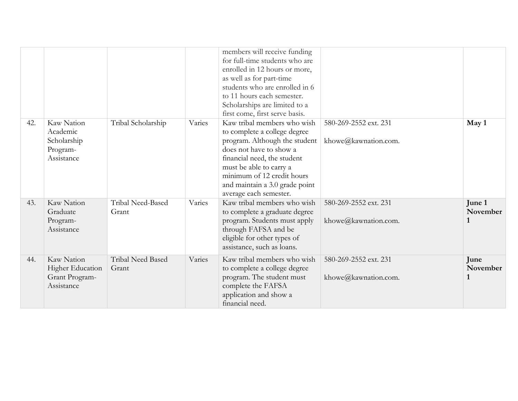|     |                                                                       |                            |        | members will receive funding<br>for full-time students who are<br>enrolled in 12 hours or more,<br>as well as for part-time<br>students who are enrolled in 6<br>to 11 hours each semester.<br>Scholarships are limited to a<br>first come, first serve basis.              |                                               |                                    |
|-----|-----------------------------------------------------------------------|----------------------------|--------|-----------------------------------------------------------------------------------------------------------------------------------------------------------------------------------------------------------------------------------------------------------------------------|-----------------------------------------------|------------------------------------|
| 42. | Kaw Nation<br>Academic<br>Scholarship<br>Program-<br>Assistance       | Tribal Scholarship         | Varies | Kaw tribal members who wish<br>to complete a college degree<br>program. Although the student<br>does not have to show a<br>financial need, the student<br>must be able to carry a<br>minimum of 12 credit hours<br>and maintain a 3.0 grade point<br>average each semester. | 580-269-2552 ext. 231<br>khowe@kawnation.com. | May 1                              |
| 43. | Kaw Nation<br>Graduate<br>Program-<br>Assistance                      | Tribal Need-Based<br>Grant | Varies | Kaw tribal members who wish<br>to complete a graduate degree<br>program. Students must apply<br>through FAFSA and be<br>eligible for other types of<br>assistance, such as loans.                                                                                           | 580-269-2552 ext. 231<br>khowe@kawnation.com. | June 1<br>November<br>$\mathbf{1}$ |
| 44. | Kaw Nation<br><b>Higher Education</b><br>Grant Program-<br>Assistance | Tribal Need Based<br>Grant | Varies | Kaw tribal members who wish<br>to complete a college degree<br>program. The student must<br>complete the FAFSA<br>application and show a<br>financial need.                                                                                                                 | 580-269-2552 ext. 231<br>khowe@kawnation.com. | June<br>November<br>1              |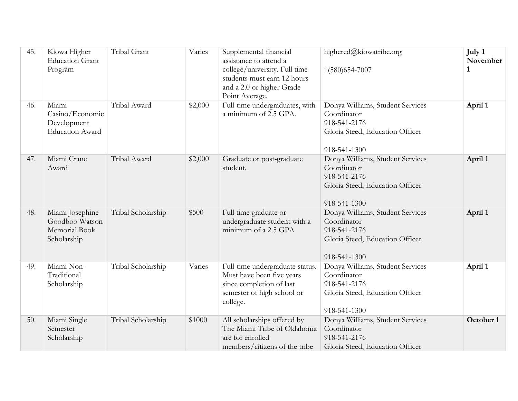| 45. | Kiowa Higher<br><b>Education Grant</b><br>Program                 | Tribal Grant       | Varies  | Supplemental financial<br>assistance to attend a<br>college/university. Full time<br>students must earn 12 hours<br>and a 2.0 or higher Grade<br>Point Average. | highered@kiowatribe.org<br>1(580)654-7007                                                                          | July 1<br>November |
|-----|-------------------------------------------------------------------|--------------------|---------|-----------------------------------------------------------------------------------------------------------------------------------------------------------------|--------------------------------------------------------------------------------------------------------------------|--------------------|
| 46. | Miami<br>Casino/Economic<br>Development<br><b>Education Award</b> | Tribal Award       | \$2,000 | Full-time undergraduates, with<br>a minimum of 2.5 GPA.                                                                                                         | Donya Williams, Student Services<br>Coordinator<br>918-541-2176<br>Gloria Steed, Education Officer<br>918-541-1300 | April 1            |
| 47. | Miami Crane<br>Award                                              | Tribal Award       | \$2,000 | Graduate or post-graduate<br>student.                                                                                                                           | Donya Williams, Student Services<br>Coordinator<br>918-541-2176<br>Gloria Steed, Education Officer<br>918-541-1300 | April 1            |
| 48. | Miami Josephine<br>Goodboo Watson<br>Memorial Book<br>Scholarship | Tribal Scholarship | \$500   | Full time graduate or<br>undergraduate student with a<br>minimum of a 2.5 GPA                                                                                   | Donya Williams, Student Services<br>Coordinator<br>918-541-2176<br>Gloria Steed, Education Officer<br>918-541-1300 | April 1            |
| 49. | Miami Non-<br>Traditional<br>Scholarship                          | Tribal Scholarship | Varies  | Full-time undergraduate status.<br>Must have been five years<br>since completion of last<br>semester of high school or<br>college.                              | Donya Williams, Student Services<br>Coordinator<br>918-541-2176<br>Gloria Steed, Education Officer<br>918-541-1300 | April 1            |
| 50. | Miami Single<br>Semester<br>Scholarship                           | Tribal Scholarship | \$1000  | All scholarships offered by<br>The Miami Tribe of Oklahoma<br>are for enrolled<br>members/citizens of the tribe                                                 | Donya Williams, Student Services<br>Coordinator<br>918-541-2176<br>Gloria Steed, Education Officer                 | October 1          |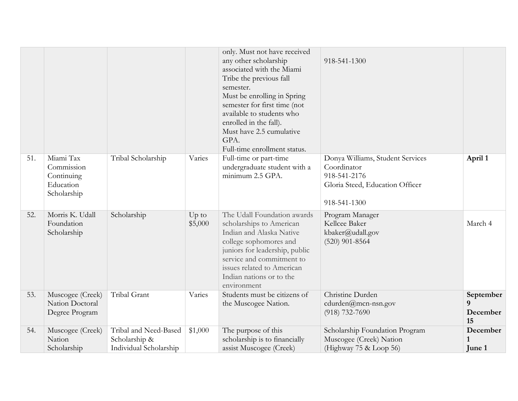|     |                                                                   |                                                                  |                    | only. Must not have received<br>any other scholarship<br>associated with the Miami<br>Tribe the previous fall<br>semester.<br>Must be enrolling in Spring<br>semester for first time (not<br>available to students who<br>enrolled in the fall).<br>Must have 2.5 cumulative<br>GPA.<br>Full-time enrollment status. | 918-541-1300                                                                                                       |                                            |
|-----|-------------------------------------------------------------------|------------------------------------------------------------------|--------------------|----------------------------------------------------------------------------------------------------------------------------------------------------------------------------------------------------------------------------------------------------------------------------------------------------------------------|--------------------------------------------------------------------------------------------------------------------|--------------------------------------------|
| 51. | Miami Tax<br>Commission<br>Continuing<br>Education<br>Scholarship | Tribal Scholarship                                               | Varies             | Full-time or part-time<br>undergraduate student with a<br>minimum 2.5 GPA.                                                                                                                                                                                                                                           | Donya Williams, Student Services<br>Coordinator<br>918-541-2176<br>Gloria Steed, Education Officer<br>918-541-1300 | April 1                                    |
| 52. | Morris K. Udall<br>Foundation<br>Scholarship                      | Scholarship                                                      | $Up$ to<br>\$5,000 | The Udall Foundation awards<br>scholarships to American<br>Indian and Alaska Native<br>college sophomores and<br>juniors for leadership, public<br>service and commitment to<br>issues related to American<br>Indian nations or to the<br>environment                                                                | Program Manager<br>Kellcee Baker<br>kbaker@udall.gov<br>$(520)$ 901-8564                                           | March 4                                    |
| 53. | Muscogee (Creek)<br>Nation Doctoral<br>Degree Program             | Tribal Grant                                                     | Varies             | Students must be citizens of<br>the Muscogee Nation.                                                                                                                                                                                                                                                                 | Christine Durden<br>$cdu$ rden $@$ mcn-nsn.gov<br>$(918) 732 - 7690$                                               | September<br>$\mathbf Q$<br>December<br>15 |
| 54. | Muscogee (Creek)<br>Nation<br>Scholarship                         | Tribal and Need-Based<br>Scholarship &<br>Individual Scholarship | \$1,000            | The purpose of this<br>scholarship is to financially<br>assist Muscogee (Creek)                                                                                                                                                                                                                                      | Scholarship Foundation Program<br>Muscogee (Creek) Nation<br>(Highway 75 & Loop 56)                                | December<br>June 1                         |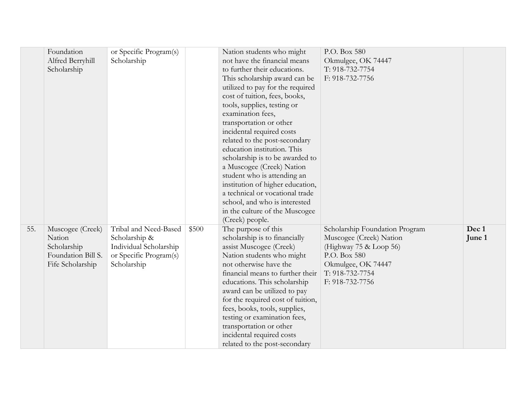|     | Foundation         | or Specific Program(s) |       | Nation students who might         | P.O. Box 580                   |        |
|-----|--------------------|------------------------|-------|-----------------------------------|--------------------------------|--------|
|     | Alfred Berryhill   | Scholarship            |       | not have the financial means      | Okmulgee, OK 74447             |        |
|     | Scholarship        |                        |       | to further their educations.      | T: 918-732-7754                |        |
|     |                    |                        |       | This scholarship award can be     | F: 918-732-7756                |        |
|     |                    |                        |       | utilized to pay for the required  |                                |        |
|     |                    |                        |       | cost of tuition, fees, books,     |                                |        |
|     |                    |                        |       | tools, supplies, testing or       |                                |        |
|     |                    |                        |       | examination fees,                 |                                |        |
|     |                    |                        |       |                                   |                                |        |
|     |                    |                        |       | transportation or other           |                                |        |
|     |                    |                        |       | incidental required costs         |                                |        |
|     |                    |                        |       | related to the post-secondary     |                                |        |
|     |                    |                        |       | education institution. This       |                                |        |
|     |                    |                        |       | scholarship is to be awarded to   |                                |        |
|     |                    |                        |       | a Muscogee (Creek) Nation         |                                |        |
|     |                    |                        |       | student who is attending an       |                                |        |
|     |                    |                        |       | institution of higher education,  |                                |        |
|     |                    |                        |       | a technical or vocational trade   |                                |        |
|     |                    |                        |       | school, and who is interested     |                                |        |
|     |                    |                        |       | in the culture of the Muscogee    |                                |        |
|     |                    |                        |       | (Creek) people.                   |                                |        |
| 55. | Muscogee (Creek)   | Tribal and Need-Based  | \$500 | The purpose of this               | Scholarship Foundation Program | Dec 1  |
|     | Nation             | Scholarship &          |       | scholarship is to financially     | Muscogee (Creek) Nation        | June 1 |
|     | Scholarship        | Individual Scholarship |       | assist Muscogee (Creek)           | (Highway 75 & Loop 56)         |        |
|     | Foundation Bill S. | or Specific Program(s) |       | Nation students who might         | P.O. Box 580                   |        |
|     | Fife Scholarship   | Scholarship            |       | not otherwise have the            | Okmulgee, OK 74447             |        |
|     |                    |                        |       | financial means to further their  | T: 918-732-7754                |        |
|     |                    |                        |       | educations. This scholarship      | F: 918-732-7756                |        |
|     |                    |                        |       | award can be utilized to pay      |                                |        |
|     |                    |                        |       | for the required cost of tuition, |                                |        |
|     |                    |                        |       | fees, books, tools, supplies,     |                                |        |
|     |                    |                        |       | testing or examination fees,      |                                |        |
|     |                    |                        |       | transportation or other           |                                |        |
|     |                    |                        |       | incidental required costs         |                                |        |
|     |                    |                        |       | related to the post-secondary     |                                |        |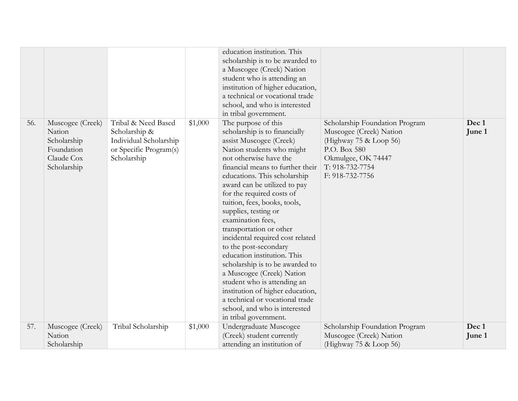|     |                                                                                      |                                                                                                         |         | education institution. This<br>scholarship is to be awarded to<br>a Muscogee (Creek) Nation<br>student who is attending an<br>institution of higher education,<br>a technical or vocational trade<br>school, and who is interested<br>in tribal government.                                                                                                                                                                                                                                                                                                                                                                                                                                                 |                                                                                                                                                                 |                 |
|-----|--------------------------------------------------------------------------------------|---------------------------------------------------------------------------------------------------------|---------|-------------------------------------------------------------------------------------------------------------------------------------------------------------------------------------------------------------------------------------------------------------------------------------------------------------------------------------------------------------------------------------------------------------------------------------------------------------------------------------------------------------------------------------------------------------------------------------------------------------------------------------------------------------------------------------------------------------|-----------------------------------------------------------------------------------------------------------------------------------------------------------------|-----------------|
| 56. | Muscogee (Creek)<br>Nation<br>Scholarship<br>Foundation<br>Claude Cox<br>Scholarship | Tribal & Need Based<br>Scholarship &<br>Individual Scholarship<br>or Specific Program(s)<br>Scholarship | \$1,000 | The purpose of this<br>scholarship is to financially<br>assist Muscogee (Creek)<br>Nation students who might<br>not otherwise have the<br>financial means to further their<br>educations. This scholarship<br>award can be utilized to pay<br>for the required costs of<br>tuition, fees, books, tools,<br>supplies, testing or<br>examination fees,<br>transportation or other<br>incidental required cost related<br>to the post-secondary<br>education institution. This<br>scholarship is to be awarded to<br>a Muscogee (Creek) Nation<br>student who is attending an<br>institution of higher education,<br>a technical or vocational trade<br>school, and who is interested<br>in tribal government. | Scholarship Foundation Program<br>Muscogee (Creek) Nation<br>(Highway 75 & Loop 56)<br>P.O. Box 580<br>Okmulgee, OK 74447<br>T: 918-732-7754<br>F: 918-732-7756 | Dec 1<br>June 1 |
| 57. | Muscogee (Creek)<br>Nation<br>Scholarship                                            | Tribal Scholarship                                                                                      | \$1,000 | Undergraduate Muscogee<br>(Creek) student currently<br>attending an institution of                                                                                                                                                                                                                                                                                                                                                                                                                                                                                                                                                                                                                          | Scholarship Foundation Program<br>Muscogee (Creek) Nation<br>(Highway $75 &$ Loop 56)                                                                           | Dec 1<br>June 1 |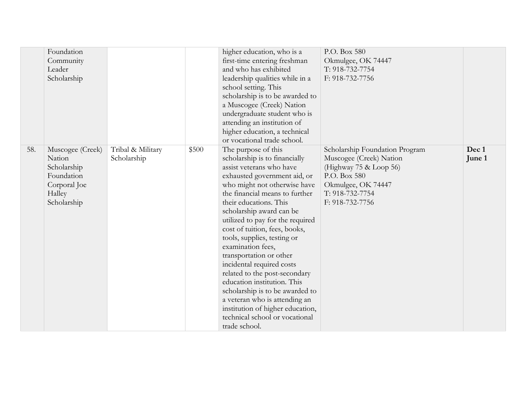|     | Foundation<br>Community<br>Leader<br>Scholarship                                                 |                                  |       | higher education, who is a<br>first-time entering freshman<br>and who has exhibited<br>leadership qualities while in a<br>school setting. This<br>scholarship is to be awarded to<br>a Muscogee (Creek) Nation<br>undergraduate student who is<br>attending an institution of<br>higher education, a technical<br>or vocational trade school.                                                                                                                                                                                                                                                                                                        | P.O. Box 580<br>Okmulgee, OK 74447<br>T: 918-732-7754<br>F: 918-732-7756                                                                                        |                 |
|-----|--------------------------------------------------------------------------------------------------|----------------------------------|-------|------------------------------------------------------------------------------------------------------------------------------------------------------------------------------------------------------------------------------------------------------------------------------------------------------------------------------------------------------------------------------------------------------------------------------------------------------------------------------------------------------------------------------------------------------------------------------------------------------------------------------------------------------|-----------------------------------------------------------------------------------------------------------------------------------------------------------------|-----------------|
| 58. | Muscogee (Creek)<br>Nation<br>Scholarship<br>Foundation<br>Corporal Joe<br>Halley<br>Scholarship | Tribal & Military<br>Scholarship | \$500 | The purpose of this<br>scholarship is to financially<br>assist veterans who have<br>exhausted government aid, or<br>who might not otherwise have<br>the financial means to further<br>their educations. This<br>scholarship award can be<br>utilized to pay for the required<br>cost of tuition, fees, books,<br>tools, supplies, testing or<br>examination fees,<br>transportation or other<br>incidental required costs<br>related to the post-secondary<br>education institution. This<br>scholarship is to be awarded to<br>a veteran who is attending an<br>institution of higher education,<br>technical school or vocational<br>trade school. | Scholarship Foundation Program<br>Muscogee (Creek) Nation<br>(Highway 75 & Loop 56)<br>P.O. Box 580<br>Okmulgee, OK 74447<br>T: 918-732-7754<br>F: 918-732-7756 | Dec 1<br>June 1 |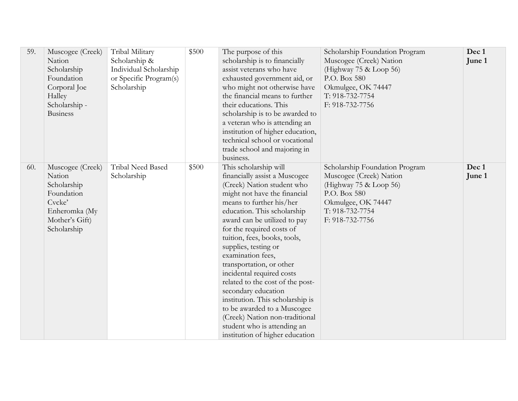| 59. | Muscogee (Creek)<br>Nation<br>Scholarship<br>Foundation<br>Corporal Joe<br>Halley<br>Scholarship -<br><b>Business</b> | Tribal Military<br>Scholarship &<br>Individual Scholarship<br>or Specific Program(s)<br>Scholarship | \$500 | The purpose of this<br>scholarship is to financially<br>assist veterans who have<br>exhausted government aid, or<br>who might not otherwise have<br>the financial means to further<br>their educations. This<br>scholarship is to be awarded to<br>a veteran who is attending an<br>institution of higher education,<br>technical school or vocational<br>trade school and majoring in<br>business.                                                                                                                                                                                                                  | Scholarship Foundation Program<br>Muscogee (Creek) Nation<br>(Highway 75 & Loop 56)<br>P.O. Box 580<br>Okmulgee, OK 74447<br>T: 918-732-7754<br>F: 918-732-7756 | Dec 1<br>June 1 |
|-----|-----------------------------------------------------------------------------------------------------------------------|-----------------------------------------------------------------------------------------------------|-------|----------------------------------------------------------------------------------------------------------------------------------------------------------------------------------------------------------------------------------------------------------------------------------------------------------------------------------------------------------------------------------------------------------------------------------------------------------------------------------------------------------------------------------------------------------------------------------------------------------------------|-----------------------------------------------------------------------------------------------------------------------------------------------------------------|-----------------|
| 60. | Muscogee (Creek)<br>Nation<br>Scholarship<br>Foundation<br>Cvcke'<br>Enheromka (My<br>Mother's Gift)<br>Scholarship   | Tribal Need Based<br>Scholarship                                                                    | \$500 | This scholarship will<br>financially assist a Muscogee<br>(Creek) Nation student who<br>might not have the financial<br>means to further his/her<br>education. This scholarship<br>award can be utilized to pay<br>for the required costs of<br>tuition, fees, books, tools,<br>supplies, testing or<br>examination fees,<br>transportation, or other<br>incidental required costs<br>related to the cost of the post-<br>secondary education<br>institution. This scholarship is<br>to be awarded to a Muscogee<br>(Creek) Nation non-traditional<br>student who is attending an<br>institution of higher education | Scholarship Foundation Program<br>Muscogee (Creek) Nation<br>(Highway 75 & Loop 56)<br>P.O. Box 580<br>Okmulgee, OK 74447<br>T: 918-732-7754<br>F: 918-732-7756 | Dec 1<br>June 1 |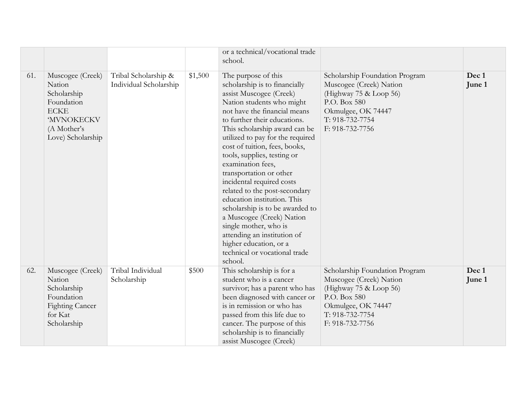|     |                                                                                                                                |                                                |         | or a technical/vocational trade<br>school.                                                                                                                                                                                                                                                                                                                                                                                                                                                                                                                                                                                                                   |                                                                                                                                                                 |                 |
|-----|--------------------------------------------------------------------------------------------------------------------------------|------------------------------------------------|---------|--------------------------------------------------------------------------------------------------------------------------------------------------------------------------------------------------------------------------------------------------------------------------------------------------------------------------------------------------------------------------------------------------------------------------------------------------------------------------------------------------------------------------------------------------------------------------------------------------------------------------------------------------------------|-----------------------------------------------------------------------------------------------------------------------------------------------------------------|-----------------|
| 61. | Muscogee (Creek)<br>Nation<br>Scholarship<br>Foundation<br><b>ECKE</b><br><b>MVNOKECKV</b><br>(A Mother's<br>Love) Scholarship | Tribal Scholarship &<br>Individual Scholarship | \$1,500 | The purpose of this<br>scholarship is to financially<br>assist Muscogee (Creek)<br>Nation students who might<br>not have the financial means<br>to further their educations.<br>This scholarship award can be<br>utilized to pay for the required<br>cost of tuition, fees, books,<br>tools, supplies, testing or<br>examination fees,<br>transportation or other<br>incidental required costs<br>related to the post-secondary<br>education institution. This<br>scholarship is to be awarded to<br>a Muscogee (Creek) Nation<br>single mother, who is<br>attending an institution of<br>higher education, or a<br>technical or vocational trade<br>school. | Scholarship Foundation Program<br>Muscogee (Creek) Nation<br>(Highway 75 & Loop 56)<br>P.O. Box 580<br>Okmulgee, OK 74447<br>T: 918-732-7754<br>F: 918-732-7756 | Dec 1<br>June 1 |
| 62. | Muscogee (Creek)<br>Nation<br>Scholarship<br>Foundation<br><b>Fighting Cancer</b><br>for Kat<br>Scholarship                    | Tribal Individual<br>Scholarship               | \$500   | This scholarship is for a<br>student who is a cancer<br>survivor; has a parent who has<br>been diagnosed with cancer or<br>is in remission or who has<br>passed from this life due to<br>cancer. The purpose of this<br>scholarship is to financially<br>assist Muscogee (Creek)                                                                                                                                                                                                                                                                                                                                                                             | Scholarship Foundation Program<br>Muscogee (Creek) Nation<br>(Highway 75 & Loop 56)<br>P.O. Box 580<br>Okmulgee, OK 74447<br>T: 918-732-7754<br>F: 918-732-7756 | Dec 1<br>June 1 |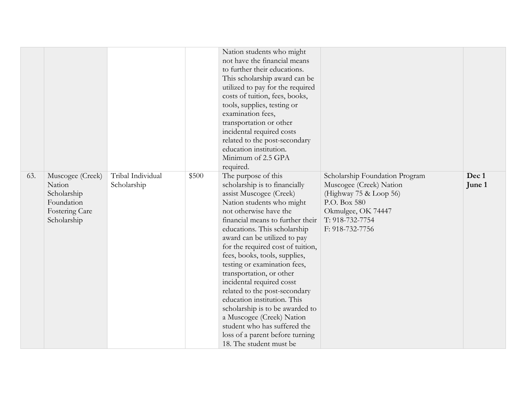|     |                                                                                          |                                  |       | Nation students who might<br>not have the financial means<br>to further their educations.<br>This scholarship award can be<br>utilized to pay for the required<br>costs of tuition, fees, books,<br>tools, supplies, testing or<br>examination fees,<br>transportation or other<br>incidental required costs<br>related to the post-secondary<br>education institution.<br>Minimum of 2.5 GPA<br>required.                                                                                                                                                                                                                              |                                                                                                                                                                 |                 |
|-----|------------------------------------------------------------------------------------------|----------------------------------|-------|-----------------------------------------------------------------------------------------------------------------------------------------------------------------------------------------------------------------------------------------------------------------------------------------------------------------------------------------------------------------------------------------------------------------------------------------------------------------------------------------------------------------------------------------------------------------------------------------------------------------------------------------|-----------------------------------------------------------------------------------------------------------------------------------------------------------------|-----------------|
| 63. | Muscogee (Creek)<br>Nation<br>Scholarship<br>Foundation<br>Fostering Care<br>Scholarship | Tribal Individual<br>Scholarship | \$500 | The purpose of this<br>scholarship is to financially<br>assist Muscogee (Creek)<br>Nation students who might<br>not otherwise have the<br>financial means to further their<br>educations. This scholarship<br>award can be utilized to pay<br>for the required cost of tuition,<br>fees, books, tools, supplies,<br>testing or examination fees,<br>transportation, or other<br>incidental required cosst<br>related to the post-secondary<br>education institution. This<br>scholarship is to be awarded to<br>a Muscogee (Creek) Nation<br>student who has suffered the<br>loss of a parent before turning<br>18. The student must be | Scholarship Foundation Program<br>Muscogee (Creek) Nation<br>(Highway 75 & Loop 56)<br>P.O. Box 580<br>Okmulgee, OK 74447<br>T: 918-732-7754<br>F: 918-732-7756 | Dec 1<br>June 1 |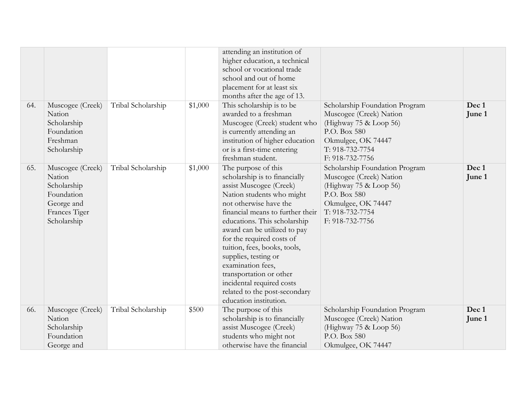|     |                                                                                                       |                    |         | attending an institution of<br>higher education, a technical<br>school or vocational trade<br>school and out of home<br>placement for at least six                                                                                                                                                                                                                                                                                                                      |                                                                                                                                                                 |                 |
|-----|-------------------------------------------------------------------------------------------------------|--------------------|---------|-------------------------------------------------------------------------------------------------------------------------------------------------------------------------------------------------------------------------------------------------------------------------------------------------------------------------------------------------------------------------------------------------------------------------------------------------------------------------|-----------------------------------------------------------------------------------------------------------------------------------------------------------------|-----------------|
| 64. | Muscogee (Creek)<br>Nation<br>Scholarship<br>Foundation<br>Freshman<br>Scholarship                    | Tribal Scholarship | \$1,000 | months after the age of 13.<br>This scholarship is to be<br>awarded to a freshman<br>Muscogee (Creek) student who<br>is currently attending an<br>institution of higher education<br>or is a first-time entering<br>freshman student.                                                                                                                                                                                                                                   | Scholarship Foundation Program<br>Muscogee (Creek) Nation<br>(Highway 75 & Loop 56)<br>P.O. Box 580<br>Okmulgee, OK 74447<br>T: 918-732-7754<br>F: 918-732-7756 | Dec 1<br>June 1 |
| 65. | Muscogee (Creek)<br>Nation<br>Scholarship<br>Foundation<br>George and<br>Frances Tiger<br>Scholarship | Tribal Scholarship | \$1,000 | The purpose of this<br>scholarship is to financially<br>assist Muscogee (Creek)<br>Nation students who might<br>not otherwise have the<br>financial means to further their<br>educations. This scholarship<br>award can be utilized to pay<br>for the required costs of<br>tuition, fees, books, tools,<br>supplies, testing or<br>examination fees,<br>transportation or other<br>incidental required costs<br>related to the post-secondary<br>education institution. | Scholarship Foundation Program<br>Muscogee (Creek) Nation<br>(Highway 75 & Loop 56)<br>P.O. Box 580<br>Okmulgee, OK 74447<br>T: 918-732-7754<br>F: 918-732-7756 | Dec 1<br>June 1 |
| 66. | Muscogee (Creek)<br>Nation<br>Scholarship<br>Foundation<br>George and                                 | Tribal Scholarship | \$500   | The purpose of this<br>scholarship is to financially<br>assist Muscogee (Creek)<br>students who might not<br>otherwise have the financial                                                                                                                                                                                                                                                                                                                               | Scholarship Foundation Program<br>Muscogee (Creek) Nation<br>(Highway $75 \&$ Loop 56)<br>P.O. Box 580<br>Okmulgee, OK 74447                                    | Dec 1<br>June 1 |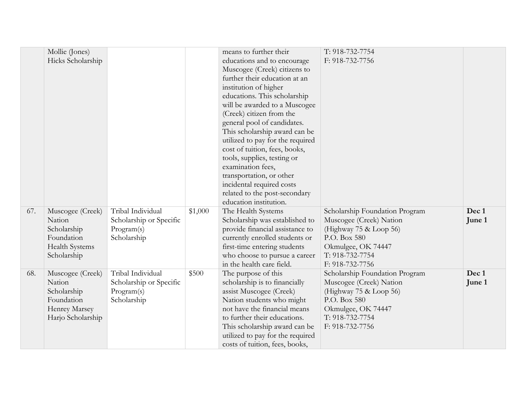|     | Mollie (Jones)<br>Hicks Scholarship                                                             |                                                                           |         | means to further their<br>educations and to encourage<br>Muscogee (Creek) citizens to<br>further their education at an<br>institution of higher<br>educations. This scholarship<br>will be awarded to a Muscogee<br>(Creek) citizen from the<br>general pool of candidates.<br>This scholarship award can be | T: 918-732-7754<br>F: 918-732-7756                                                                                                                              |                 |
|-----|-------------------------------------------------------------------------------------------------|---------------------------------------------------------------------------|---------|--------------------------------------------------------------------------------------------------------------------------------------------------------------------------------------------------------------------------------------------------------------------------------------------------------------|-----------------------------------------------------------------------------------------------------------------------------------------------------------------|-----------------|
|     |                                                                                                 |                                                                           |         | utilized to pay for the required<br>cost of tuition, fees, books,<br>tools, supplies, testing or<br>examination fees,<br>transportation, or other<br>incidental required costs<br>related to the post-secondary<br>education institution.                                                                    |                                                                                                                                                                 |                 |
| 67. | Muscogee (Creek)<br>Nation<br>Scholarship<br>Foundation<br><b>Health Systems</b><br>Scholarship | Tribal Individual<br>Scholarship or Specific<br>Program(s)<br>Scholarship | \$1,000 | The Health Systems<br>Scholarship was established to<br>provide financial assistance to<br>currently enrolled students or<br>first-time entering students<br>who choose to pursue a career<br>in the health care field.                                                                                      | Scholarship Foundation Program<br>Muscogee (Creek) Nation<br>(Highway 75 & Loop 56)<br>P.O. Box 580<br>Okmulgee, OK 74447<br>T: 918-732-7754<br>F: 918-732-7756 | Dec 1<br>June 1 |
| 68. | Muscogee (Creek)<br>Nation<br>Scholarship<br>Foundation<br>Henrey Marsey<br>Harjo Scholarship   | Tribal Individual<br>Scholarship or Specific<br>Program(s)<br>Scholarship | \$500   | The purpose of this<br>scholarship is to financially<br>assist Muscogee (Creek)<br>Nation students who might<br>not have the financial means<br>to further their educations.<br>This scholarship award can be<br>utilized to pay for the required<br>costs of tuition, fees, books,                          | Scholarship Foundation Program<br>Muscogee (Creek) Nation<br>(Highway 75 & Loop 56)<br>P.O. Box 580<br>Okmulgee, OK 74447<br>T: 918-732-7754<br>F: 918-732-7756 | Dec 1<br>June 1 |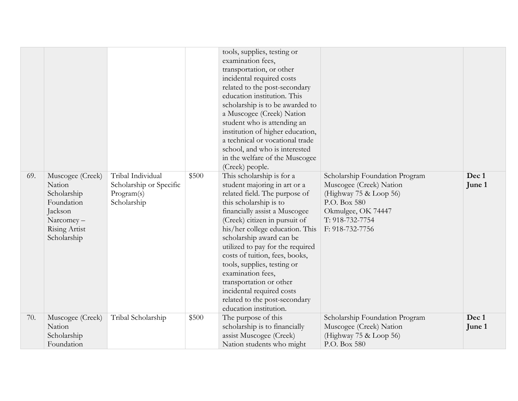|     |                                                                                                                 |                                                                           |       | tools, supplies, testing or<br>examination fees,<br>transportation, or other<br>incidental required costs<br>related to the post-secondary<br>education institution. This<br>scholarship is to be awarded to<br>a Muscogee (Creek) Nation<br>student who is attending an<br>institution of higher education,<br>a technical or vocational trade<br>school, and who is interested<br>in the welfare of the Muscogee<br>(Creek) people.                                                              |                                                                                                                                                                 |                 |
|-----|-----------------------------------------------------------------------------------------------------------------|---------------------------------------------------------------------------|-------|----------------------------------------------------------------------------------------------------------------------------------------------------------------------------------------------------------------------------------------------------------------------------------------------------------------------------------------------------------------------------------------------------------------------------------------------------------------------------------------------------|-----------------------------------------------------------------------------------------------------------------------------------------------------------------|-----------------|
| 69. | Muscogee (Creek)<br>Nation<br>Scholarship<br>Foundation<br>Jackson<br>Narcomey-<br>Rising Artist<br>Scholarship | Tribal Individual<br>Scholarship or Specific<br>Program(s)<br>Scholarship | \$500 | This scholarship is for a<br>student majoring in art or a<br>related field. The purpose of<br>this scholarship is to<br>financially assist a Muscogee<br>(Creek) citizen in pursuit of<br>his/her college education. This<br>scholarship award can be<br>utilized to pay for the required<br>costs of tuition, fees, books,<br>tools, supplies, testing or<br>examination fees,<br>transportation or other<br>incidental required costs<br>related to the post-secondary<br>education institution. | Scholarship Foundation Program<br>Muscogee (Creek) Nation<br>(Highway 75 & Loop 56)<br>P.O. Box 580<br>Okmulgee, OK 74447<br>T: 918-732-7754<br>F: 918-732-7756 | Dec 1<br>June 1 |
| 70. | Muscogee (Creek)<br>Nation<br>Scholarship<br>Foundation                                                         | Tribal Scholarship                                                        | \$500 | The purpose of this<br>scholarship is to financially<br>assist Muscogee (Creek)<br>Nation students who might                                                                                                                                                                                                                                                                                                                                                                                       | Scholarship Foundation Program<br>Muscogee (Creek) Nation<br>(Highway 75 & Loop 56)<br>P.O. Box 580                                                             | Dec 1<br>June 1 |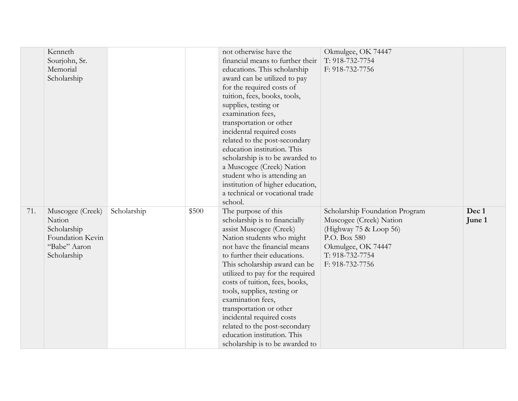|     | Kenneth          |             |       | not otherwise have the           | Okmulgee, OK 74447             |        |
|-----|------------------|-------------|-------|----------------------------------|--------------------------------|--------|
|     | Sourjohn, Sr.    |             |       | financial means to further their | T: 918-732-7754                |        |
|     | Memorial         |             |       | educations. This scholarship     | F: 918-732-7756                |        |
|     | Scholarship      |             |       | award can be utilized to pay     |                                |        |
|     |                  |             |       | for the required costs of        |                                |        |
|     |                  |             |       | tuition, fees, books, tools,     |                                |        |
|     |                  |             |       | supplies, testing or             |                                |        |
|     |                  |             |       | examination fees,                |                                |        |
|     |                  |             |       | transportation or other          |                                |        |
|     |                  |             |       | incidental required costs        |                                |        |
|     |                  |             |       | related to the post-secondary    |                                |        |
|     |                  |             |       | education institution. This      |                                |        |
|     |                  |             |       | scholarship is to be awarded to  |                                |        |
|     |                  |             |       | a Muscogee (Creek) Nation        |                                |        |
|     |                  |             |       | student who is attending an      |                                |        |
|     |                  |             |       | institution of higher education, |                                |        |
|     |                  |             |       | a technical or vocational trade  |                                |        |
|     |                  |             |       | school.                          |                                |        |
| 71. | Muscogee (Creek) | Scholarship | \$500 | The purpose of this              | Scholarship Foundation Program | Dec 1  |
|     | Nation           |             |       | scholarship is to financially    | Muscogee (Creek) Nation        | June 1 |
|     | Scholarship      |             |       | assist Muscogee (Creek)          | (Highway $75 \&$ Loop 56)      |        |
|     | Foundation Kevin |             |       | Nation students who might        | P.O. Box 580                   |        |
|     | "Babe" Aaron     |             |       | not have the financial means     | Okmulgee, OK 74447             |        |
|     | Scholarship      |             |       | to further their educations.     | T: 918-732-7754                |        |
|     |                  |             |       | This scholarship award can be    | F: 918-732-7756                |        |
|     |                  |             |       | utilized to pay for the required |                                |        |
|     |                  |             |       | costs of tuition, fees, books,   |                                |        |
|     |                  |             |       | tools, supplies, testing or      |                                |        |
|     |                  |             |       | examination fees,                |                                |        |
|     |                  |             |       | transportation or other          |                                |        |
|     |                  |             |       | incidental required costs        |                                |        |
|     |                  |             |       | related to the post-secondary    |                                |        |
|     |                  |             |       | education institution. This      |                                |        |
|     |                  |             |       | scholarship is to be awarded to  |                                |        |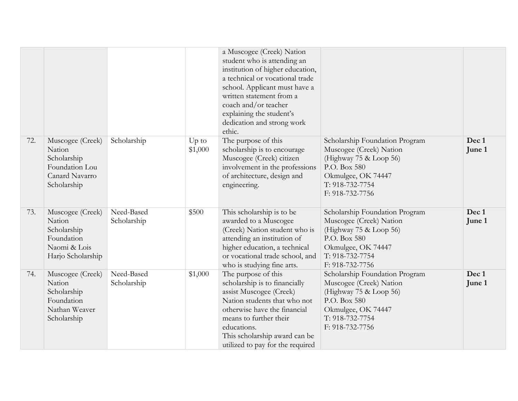|     |                                                                                              |                           |                    | a Muscogee (Creek) Nation<br>student who is attending an<br>institution of higher education,<br>a technical or vocational trade<br>school. Applicant must have a<br>written statement from a<br>coach and/or teacher<br>explaining the student's<br>dedication and strong work<br>ethic. |                                                                                                                                                                 |                 |
|-----|----------------------------------------------------------------------------------------------|---------------------------|--------------------|------------------------------------------------------------------------------------------------------------------------------------------------------------------------------------------------------------------------------------------------------------------------------------------|-----------------------------------------------------------------------------------------------------------------------------------------------------------------|-----------------|
| 72. | Muscogee (Creek)<br>Nation<br>Scholarship<br>Foundation Lou<br>Canard Navarro<br>Scholarship | Scholarship               | $Up$ to<br>\$1,000 | The purpose of this<br>scholarship is to encourage<br>Muscogee (Creek) citizen<br>involvement in the professions<br>of architecture, design and<br>engineering.                                                                                                                          | Scholarship Foundation Program<br>Muscogee (Creek) Nation<br>(Highway 75 & Loop 56)<br>P.O. Box 580<br>Okmulgee, OK 74447<br>T: 918-732-7754<br>F: 918-732-7756 | Dec 1<br>June 1 |
| 73. | Muscogee (Creek)<br>Nation<br>Scholarship<br>Foundation<br>Naomi & Lois<br>Harjo Scholarship | Need-Based<br>Scholarship | \$500              | This scholarship is to be<br>awarded to a Muscogee<br>(Creek) Nation student who is<br>attending an institution of<br>higher education, a technical<br>or vocational trade school, and<br>who is studying fine arts.                                                                     | Scholarship Foundation Program<br>Muscogee (Creek) Nation<br>(Highway 75 & Loop 56)<br>P.O. Box 580<br>Okmulgee, OK 74447<br>T: 918-732-7754<br>F: 918-732-7756 | Dec 1<br>June 1 |
| 74. | Muscogee (Creek)<br>Nation<br>Scholarship<br>Foundation<br>Nathan Weaver<br>Scholarship      | Need-Based<br>Scholarship | \$1,000            | The purpose of this<br>scholarship is to financially<br>assist Muscogee (Creek)<br>Nation students that who not<br>otherwise have the financial<br>means to further their<br>educations.<br>This scholarship award can be<br>utilized to pay for the required                            | Scholarship Foundation Program<br>Muscogee (Creek) Nation<br>(Highway 75 & Loop 56)<br>P.O. Box 580<br>Okmulgee, OK 74447<br>T: 918-732-7754<br>F: 918-732-7756 | Dec 1<br>June 1 |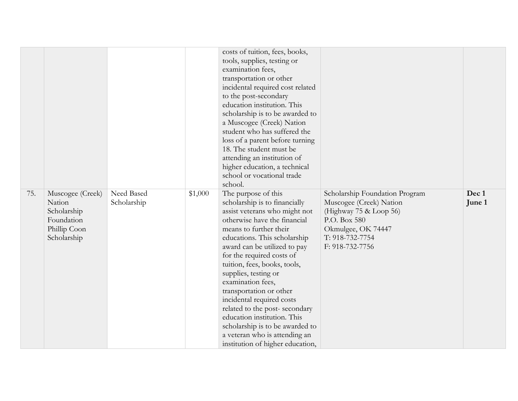|     |                                                                                        |                           |         | costs of tuition, fees, books,<br>tools, supplies, testing or<br>examination fees,<br>transportation or other<br>incidental required cost related<br>to the post-secondary<br>education institution. This<br>scholarship is to be awarded to<br>a Muscogee (Creek) Nation<br>student who has suffered the<br>loss of a parent before turning<br>18. The student must be<br>attending an institution of<br>higher education, a technical<br>school or vocational trade<br>school.                                                                          |                                                                                                                                                                 |                 |
|-----|----------------------------------------------------------------------------------------|---------------------------|---------|-----------------------------------------------------------------------------------------------------------------------------------------------------------------------------------------------------------------------------------------------------------------------------------------------------------------------------------------------------------------------------------------------------------------------------------------------------------------------------------------------------------------------------------------------------------|-----------------------------------------------------------------------------------------------------------------------------------------------------------------|-----------------|
| 75. | Muscogee (Creek)<br>Nation<br>Scholarship<br>Foundation<br>Phillip Coon<br>Scholarship | Need Based<br>Scholarship | \$1,000 | The purpose of this<br>scholarship is to financially<br>assist veterans who might not<br>otherwise have the financial<br>means to further their<br>educations. This scholarship<br>award can be utilized to pay<br>for the required costs of<br>tuition, fees, books, tools,<br>supplies, testing or<br>examination fees,<br>transportation or other<br>incidental required costs<br>related to the post-secondary<br>education institution. This<br>scholarship is to be awarded to<br>a veteran who is attending an<br>institution of higher education, | Scholarship Foundation Program<br>Muscogee (Creek) Nation<br>(Highway 75 & Loop 56)<br>P.O. Box 580<br>Okmulgee, OK 74447<br>T: 918-732-7754<br>F: 918-732-7756 | Dec 1<br>June 1 |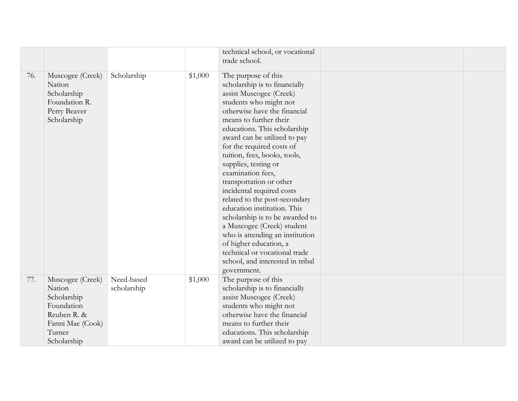|     |                                                                                                                     |                           |         | technical school, or vocational<br>trade school.                                                                                                                                                                                                                                                                                                                                                                                                                                                                                                                                                                                                                                        |  |
|-----|---------------------------------------------------------------------------------------------------------------------|---------------------------|---------|-----------------------------------------------------------------------------------------------------------------------------------------------------------------------------------------------------------------------------------------------------------------------------------------------------------------------------------------------------------------------------------------------------------------------------------------------------------------------------------------------------------------------------------------------------------------------------------------------------------------------------------------------------------------------------------------|--|
| 76. | Muscogee (Creek)<br>Nation<br>Scholarship<br>Foundation R.<br>Perry Beaver<br>Scholarship                           | Scholarship               | \$1,000 | The purpose of this<br>scholarship is to financially<br>assist Muscogee (Creek)<br>students who might not<br>otherwise have the financial<br>means to further their<br>educations. This scholarship<br>award can be utilized to pay<br>for the required costs of<br>tuition, fees, books, tools,<br>supplies, testing or<br>examination fees,<br>transportation or other<br>incidental required costs<br>related to the post-secondary<br>education institution. This<br>scholarship is to be awarded to<br>a Muscogee (Creek) student<br>who is attending an institution<br>of higher education, a<br>technical or vocational trade<br>school, and interested in tribal<br>government. |  |
| 77. | Muscogee (Creek)<br>Nation<br>Scholarship<br>Foundation<br>Reuben R. &<br>Fanni Mae (Cook)<br>Turner<br>Scholarship | Need-based<br>scholarship | \$1,000 | The purpose of this<br>scholarship is to financially<br>assist Muscogee (Creek)<br>students who might not<br>otherwise have the financial<br>means to further their<br>educations. This scholarship<br>award can be utilized to pay                                                                                                                                                                                                                                                                                                                                                                                                                                                     |  |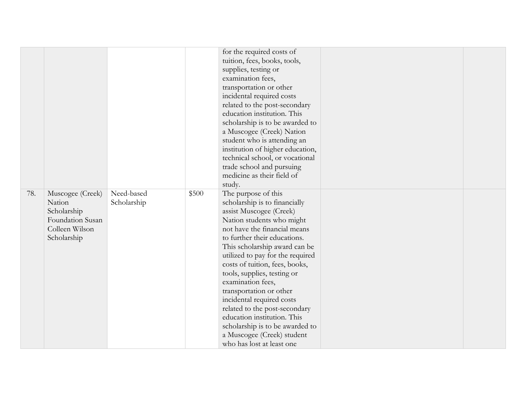|     |                                                                                                |                           |       | for the required costs of<br>tuition, fees, books, tools,<br>supplies, testing or<br>examination fees,<br>transportation or other<br>incidental required costs<br>related to the post-secondary<br>education institution. This<br>scholarship is to be awarded to<br>a Muscogee (Creek) Nation<br>student who is attending an                                                                                                                                                                                                                                           |  |
|-----|------------------------------------------------------------------------------------------------|---------------------------|-------|-------------------------------------------------------------------------------------------------------------------------------------------------------------------------------------------------------------------------------------------------------------------------------------------------------------------------------------------------------------------------------------------------------------------------------------------------------------------------------------------------------------------------------------------------------------------------|--|
|     |                                                                                                |                           |       | institution of higher education,<br>technical school, or vocational<br>trade school and pursuing<br>medicine as their field of                                                                                                                                                                                                                                                                                                                                                                                                                                          |  |
| 78. | Muscogee (Creek)<br>Nation<br>Scholarship<br>Foundation Susan<br>Colleen Wilson<br>Scholarship | Need-based<br>Scholarship | \$500 | study.<br>The purpose of this<br>scholarship is to financially<br>assist Muscogee (Creek)<br>Nation students who might<br>not have the financial means<br>to further their educations.<br>This scholarship award can be<br>utilized to pay for the required<br>costs of tuition, fees, books,<br>tools, supplies, testing or<br>examination fees,<br>transportation or other<br>incidental required costs<br>related to the post-secondary<br>education institution. This<br>scholarship is to be awarded to<br>a Muscogee (Creek) student<br>who has lost at least one |  |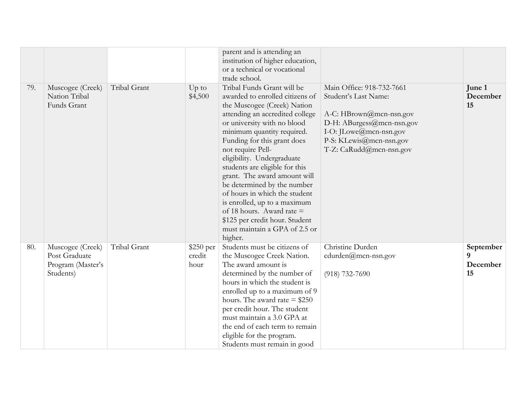|     |                                                                     |              |                              | parent and is attending an<br>institution of higher education,<br>or a technical or vocational<br>trade school.                                                                                                                                                                                                                                                                                                                                                                                                                                             |                                                                                                                                                                                           |                                  |
|-----|---------------------------------------------------------------------|--------------|------------------------------|-------------------------------------------------------------------------------------------------------------------------------------------------------------------------------------------------------------------------------------------------------------------------------------------------------------------------------------------------------------------------------------------------------------------------------------------------------------------------------------------------------------------------------------------------------------|-------------------------------------------------------------------------------------------------------------------------------------------------------------------------------------------|----------------------------------|
| 79. | Muscogee (Creek)<br>Nation Tribal<br>Funds Grant                    | Tribal Grant | Up to<br>\$4,500             | Tribal Funds Grant will be<br>awarded to enrolled citizens of<br>the Muscogee (Creek) Nation<br>attending an accredited college<br>or university with no blood<br>minimum quantity required.<br>Funding for this grant does<br>not require Pell-<br>eligibility. Undergraduate<br>students are eligible for this<br>grant. The award amount will<br>be determined by the number<br>of hours in which the student<br>is enrolled, up to a maximum<br>of 18 hours. Award rate =<br>\$125 per credit hour. Student<br>must maintain a GPA of 2.5 or<br>higher. | Main Office: 918-732-7661<br>Student's Last Name:<br>A-C: HBrown@mcn-nsn.gov<br>D-H: ABurgess@mcn-nsn.gov<br>I-O: JLowe@mcn-nsn.gov<br>P-S: KLewis@mcn-nsn.gov<br>T-Z: CaRudd@mcn-nsn.gov | June 1<br>December<br>15         |
| 80. | Muscogee (Creek)<br>Post Graduate<br>Program (Master's<br>Students) | Tribal Grant | $$250$ per<br>credit<br>hour | Students must be citizens of<br>the Muscogee Creek Nation.<br>The award amount is<br>determined by the number of<br>hours in which the student is<br>enrolled up to a maximum of 9<br>hours. The award rate $= $250$<br>per credit hour. The student<br>must maintain a 3.0 GPA at<br>the end of each term to remain<br>eligible for the program.<br>Students must remain in good                                                                                                                                                                           | Christine Durden<br>$cdu$ rden $@$ mcn-nsn.gov<br>$(918) 732 - 7690$                                                                                                                      | September<br>9<br>December<br>15 |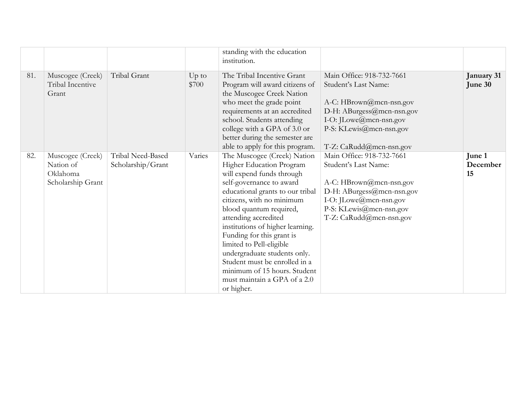|     |                                                                |                                        |                  | standing with the education<br>institution.                                                                                                                                                                                                                                                                                                                                                                                                                                      |                                                                                                                                                                                           |                          |
|-----|----------------------------------------------------------------|----------------------------------------|------------------|----------------------------------------------------------------------------------------------------------------------------------------------------------------------------------------------------------------------------------------------------------------------------------------------------------------------------------------------------------------------------------------------------------------------------------------------------------------------------------|-------------------------------------------------------------------------------------------------------------------------------------------------------------------------------------------|--------------------------|
| 81. | Muscogee (Creek)<br>Tribal Incentive<br>Grant                  | Tribal Grant                           | $Up$ to<br>\$700 | The Tribal Incentive Grant<br>Program will award citizens of<br>the Muscogee Creek Nation<br>who meet the grade point<br>requirements at an accredited<br>school. Students attending<br>college with a GPA of 3.0 or<br>better during the semester are<br>able to apply for this program.                                                                                                                                                                                        | Main Office: 918-732-7661<br>Student's Last Name:<br>A-C: HBrown@mcn-nsn.gov<br>D-H: ABurgess@mcn-nsn.gov<br>I-O: JLowe@mcn-nsn.gov<br>P-S: KLewis@mcn-nsn.gov<br>T-Z: CaRudd@mcn-nsn.gov | January 31<br>June 30    |
| 82. | Muscogee (Creek)<br>Nation of<br>Oklahoma<br>Scholarship Grant | Tribal Need-Based<br>Scholarship/Grant | Varies           | The Muscogee (Creek) Nation<br>Higher Education Program<br>will expend funds through<br>self-governance to award<br>educational grants to our tribal<br>citizens, with no minimum<br>blood quantum required,<br>attending accredited<br>institutions of higher learning.<br>Funding for this grant is<br>limited to Pell-eligible<br>undergraduate students only.<br>Student must be enrolled in a<br>minimum of 15 hours. Student<br>must maintain a GPA of a 2.0<br>or higher. | Main Office: 918-732-7661<br>Student's Last Name:<br>A-C: HBrown@mcn-nsn.gov<br>D-H: ABurgess@mcn-nsn.gov<br>I-O: JLowe@mcn-nsn.gov<br>P-S: KLewis@mcn-nsn.gov<br>T-Z: CaRudd@mcn-nsn.gov | June 1<br>December<br>15 |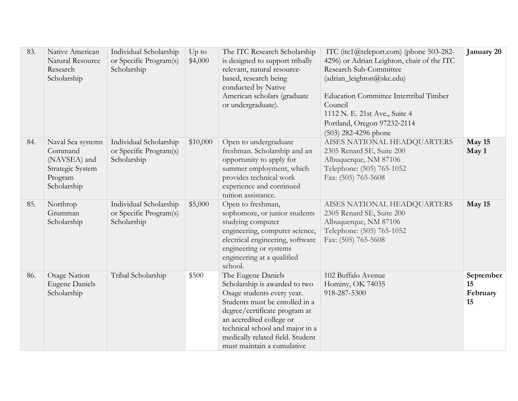| 83. | Native American<br>Natural Resource<br>Research<br>Scholarship                             | Individual Scholarship<br>or Specific Program(s)<br>Scholarship | $Up$ to<br>\$4,000 | The ITC Research Scholarship<br>is designed to support tribally<br>relevant, natural resource-<br>based, research being<br>conducted by Native<br>American scholars (graduate<br>or undergraduate).                                                                                   | ITC (itc1@teleport.com) (phone 503-282-<br>4296) or Adrian Leighton, chair of the ITC<br>Research Sub-Committee<br>(adrian_leighton@skc.edu)<br><b>Education Committee Intertribal Timber</b><br>Council<br>1112 N. E. 21st Ave., Suite 4<br>Portland, Oregon 97232-2114<br>(503) 282-4296 phone | January 20                        |
|-----|--------------------------------------------------------------------------------------------|-----------------------------------------------------------------|--------------------|---------------------------------------------------------------------------------------------------------------------------------------------------------------------------------------------------------------------------------------------------------------------------------------|--------------------------------------------------------------------------------------------------------------------------------------------------------------------------------------------------------------------------------------------------------------------------------------------------|-----------------------------------|
| 84. | Naval Sea systems<br>Command<br>(NAVSEA) and<br>Strategic System<br>Program<br>Scholarship | Individual Scholarship<br>or Specific Program(s)<br>Scholarship | \$10,000           | Open to undergraduate<br>freshman. Scholarship and an<br>opportunity to apply for<br>summer employment, which<br>provides technical work<br>experience and continued<br>tuition assistance.                                                                                           | AISES NATIONAL HEADQUARTERS<br>2305 Renard SE, Suite 200<br>Albuquerque, NM 87106<br>Telephone: (505) 765-1052<br>Fax: (505) 765-5608                                                                                                                                                            | May 15<br>May 1                   |
| 85. | Northrop<br>Grumman<br>Scholarship                                                         | Individual Scholarship<br>or Specific Program(s)<br>Scholarship | \$5,000            | Open to freshman,<br>sophomore, or junior students<br>studying computer<br>engineering, computer science,<br>electrical engineering, software<br>engineering or systems<br>engineering at a qualified<br>school.                                                                      | AISES NATIONAL HEADQUARTERS<br>2305 Renard SE, Suite 200<br>Albuquerque, NM 87106<br>Telephone: (505) 765-1052<br>Fax: (505) 765-5608                                                                                                                                                            | May 15                            |
| 86. | Osage Nation<br><b>Eugene Daniels</b><br>Scholarship                                       | Tribal Scholarship                                              | \$500              | The Eugene Daniels<br>Scholarship is awarded to two<br>Osage students every year.<br>Students must be enrolled in a<br>degree/certificate program at<br>an accredited college or<br>technical school and major in a<br>medically related field. Student<br>must maintain a cumulative | 102 Buffalo Avenue<br>Hominy, OK 74035<br>918-287-5300                                                                                                                                                                                                                                           | September<br>15<br>February<br>15 |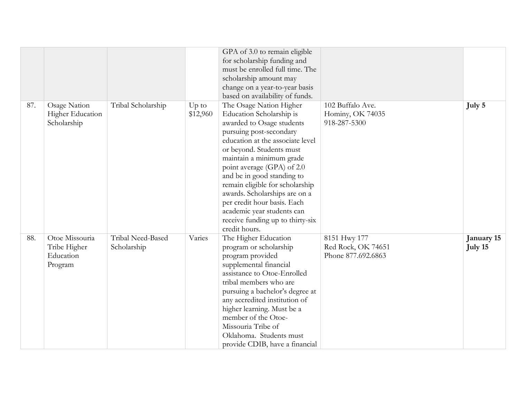|     |                         |                    |          | GPA of 3.0 to remain eligible    |                    |            |
|-----|-------------------------|--------------------|----------|----------------------------------|--------------------|------------|
|     |                         |                    |          | for scholarship funding and      |                    |            |
|     |                         |                    |          | must be enrolled full time. The  |                    |            |
|     |                         |                    |          | scholarship amount may           |                    |            |
|     |                         |                    |          | change on a year-to-year basis   |                    |            |
|     |                         |                    |          | based on availability of funds.  |                    |            |
| 87. | Osage Nation            | Tribal Scholarship | $Up$ to  | The Osage Nation Higher          | 102 Buffalo Ave.   | July 5     |
|     | <b>Higher Education</b> |                    | \$12,960 | Education Scholarship is         | Hominy, OK 74035   |            |
|     | Scholarship             |                    |          | awarded to Osage students        | 918-287-5300       |            |
|     |                         |                    |          | pursuing post-secondary          |                    |            |
|     |                         |                    |          | education at the associate level |                    |            |
|     |                         |                    |          | or beyond. Students must         |                    |            |
|     |                         |                    |          | maintain a minimum grade         |                    |            |
|     |                         |                    |          | point average (GPA) of 2.0       |                    |            |
|     |                         |                    |          | and be in good standing to       |                    |            |
|     |                         |                    |          | remain eligible for scholarship  |                    |            |
|     |                         |                    |          | awards. Scholarships are on a    |                    |            |
|     |                         |                    |          | per credit hour basis. Each      |                    |            |
|     |                         |                    |          | academic year students can       |                    |            |
|     |                         |                    |          | receive funding up to thirty-six |                    |            |
|     |                         |                    |          | credit hours.                    |                    |            |
| 88. | Otoe Missouria          | Tribal Need-Based  | Varies   | The Higher Education             | 8151 Hwy 177       | January 15 |
|     | Tribe Higher            | Scholarship        |          | program or scholarship           | Red Rock, OK 74651 | July 15    |
|     | Education               |                    |          | program provided                 | Phone 877.692.6863 |            |
|     | Program                 |                    |          | supplemental financial           |                    |            |
|     |                         |                    |          | assistance to Otoe-Enrolled      |                    |            |
|     |                         |                    |          | tribal members who are           |                    |            |
|     |                         |                    |          | pursuing a bachelor's degree at  |                    |            |
|     |                         |                    |          | any accredited institution of    |                    |            |
|     |                         |                    |          | higher learning. Must be a       |                    |            |
|     |                         |                    |          | member of the Otoe-              |                    |            |
|     |                         |                    |          | Missouria Tribe of               |                    |            |
|     |                         |                    |          | Oklahoma. Students must          |                    |            |
|     |                         |                    |          | provide CDIB, have a financial   |                    |            |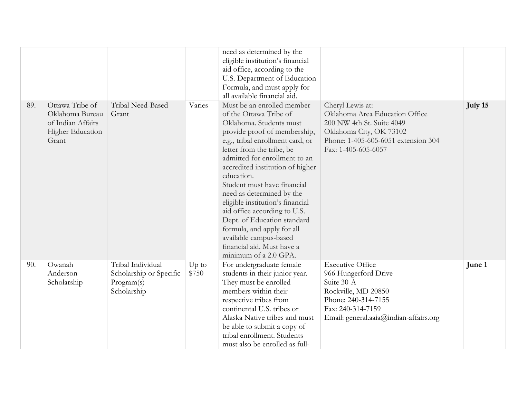|     |                                                                                      |                                                                           |                  | need as determined by the<br>eligible institution's financial<br>aid office, according to the<br>U.S. Department of Education<br>Formula, and must apply for<br>all available financial aid.                                                                                                                                                                                                                                                                                                                                                      |                                                                                                                                                                            |         |
|-----|--------------------------------------------------------------------------------------|---------------------------------------------------------------------------|------------------|---------------------------------------------------------------------------------------------------------------------------------------------------------------------------------------------------------------------------------------------------------------------------------------------------------------------------------------------------------------------------------------------------------------------------------------------------------------------------------------------------------------------------------------------------|----------------------------------------------------------------------------------------------------------------------------------------------------------------------------|---------|
| 89. | Ottawa Tribe of<br>Oklahoma Bureau<br>of Indian Affairs<br>Higher Education<br>Grant | Tribal Need-Based<br>Grant                                                | Varies           | Must be an enrolled member<br>of the Ottawa Tribe of<br>Oklahoma. Students must<br>provide proof of membership,<br>e.g., tribal enrollment card, or<br>letter from the tribe, be<br>admitted for enrollment to an<br>accredited institution of higher<br>education.<br>Student must have financial<br>need as determined by the<br>eligible institution's financial<br>aid office according to U.S.<br>Dept. of Education standard<br>formula, and apply for all<br>available campus-based<br>financial aid. Must have a<br>minimum of a 2.0 GPA. | Cheryl Lewis at:<br>Oklahoma Area Education Office<br>200 NW 4th St. Suite 4049<br>Oklahoma City, OK 73102<br>Phone: 1-405-605-6051 extension 304<br>Fax: 1-405-605-6057   | July 15 |
| 90. | Owanah<br>Anderson<br>Scholarship                                                    | Tribal Individual<br>Scholarship or Specific<br>Program(s)<br>Scholarship | $Up$ to<br>\$750 | For undergraduate female<br>students in their junior year.<br>They must be enrolled<br>members within their<br>respective tribes from<br>continental U.S. tribes or<br>Alaska Native tribes and must<br>be able to submit a copy of<br>tribal enrollment. Students<br>must also be enrolled as full-                                                                                                                                                                                                                                              | <b>Executive Office</b><br>966 Hungerford Drive<br>Suite 30-A<br>Rockville, MD 20850<br>Phone: 240-314-7155<br>Fax: 240-314-7159<br>Email: general.aaia@indian-affairs.org | June 1  |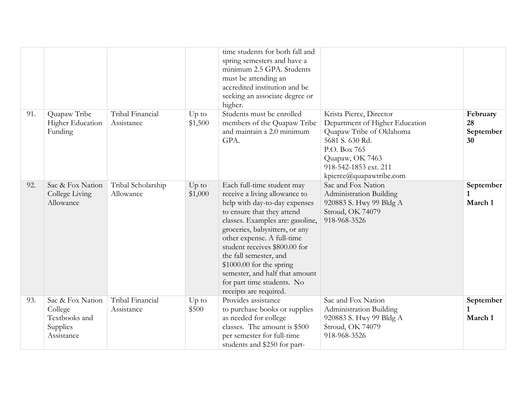|     |                                                                        |                                 |                    | time students for both fall and<br>spring semesters and have a<br>minimum 2.5 GPA. Students<br>must be attending an<br>accredited institution and be<br>seeking an associate degree or<br>higher.                                                                                                                                                                                                                |                                                                                                                                                                                                 |                                      |
|-----|------------------------------------------------------------------------|---------------------------------|--------------------|------------------------------------------------------------------------------------------------------------------------------------------------------------------------------------------------------------------------------------------------------------------------------------------------------------------------------------------------------------------------------------------------------------------|-------------------------------------------------------------------------------------------------------------------------------------------------------------------------------------------------|--------------------------------------|
| 91. | Quapaw Tribe<br><b>Higher Education</b><br>Funding                     | Tribal Financial<br>Assistance  | $Up$ to<br>\$1,500 | Students must be enrolled<br>members of the Quapaw Tribe<br>and maintain a 2.0 minimum<br>GPA.                                                                                                                                                                                                                                                                                                                   | Krista Pierce, Director<br>Department of Higher Education<br>Quapaw Tribe of Oklahoma<br>5681 S. 630 Rd.<br>P.O. Box 765<br>Quapaw, OK 7463<br>918-542-1853 ext. 211<br>kpierce@quapawtribe.com | February<br>28<br>September<br>30    |
| 92. | Sac & Fox Nation<br>College Living<br>Allowance                        | Tribal Scholarship<br>Allowance | $Up$ to<br>\$1,000 | Each full-time student may<br>receive a living allowance to<br>help with day-to-day expenses<br>to ensure that they attend<br>classes. Examples are: gasoline,<br>groceries, babysitters, or any<br>other expense. A full-time<br>student receives \$800.00 for<br>the fall semester, and<br>$$1000.00$ for the spring<br>semester, and half that amount<br>for part time students. No<br>receipts are required. | Sac and Fox Nation<br>Administration Building<br>920883 S. Hwy 99 Bldg A<br>Stroud, OK 74079<br>918-968-3526                                                                                    | September<br>March 1                 |
| 93. | Sac & Fox Nation<br>College<br>Textbooks and<br>Supplies<br>Assistance | Tribal Financial<br>Assistance  | $Up$ to<br>\$500   | Provides assistance<br>to purchase books or supplies<br>as needed for college<br>classes. The amount is \$500<br>per semester for full-time<br>students and \$250 for part-                                                                                                                                                                                                                                      | Sac and Fox Nation<br>Administration Building<br>920883 S. Hwy 99 Bldg A<br>Stroud, OK 74079<br>918-968-3526                                                                                    | September<br>$\mathbf{1}$<br>March 1 |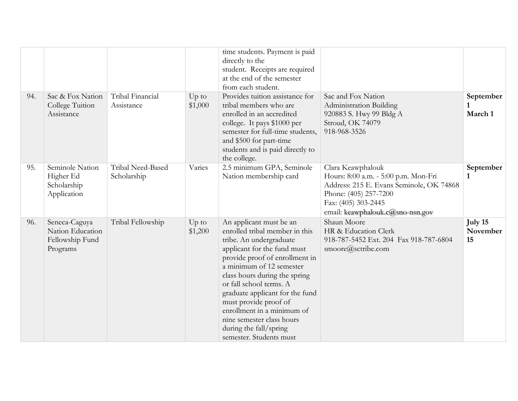|     |                                                                  |                                  |                    | time students. Payment is paid<br>directly to the<br>student. Receipts are required<br>at the end of the semester                                                                                                                                                                                                                                                                                                         |                                                                                                                                                                                           |                           |
|-----|------------------------------------------------------------------|----------------------------------|--------------------|---------------------------------------------------------------------------------------------------------------------------------------------------------------------------------------------------------------------------------------------------------------------------------------------------------------------------------------------------------------------------------------------------------------------------|-------------------------------------------------------------------------------------------------------------------------------------------------------------------------------------------|---------------------------|
| 94. | Sac & Fox Nation<br>College Tuition<br>Assistance                | Tribal Financial<br>Assistance   | $Up$ to<br>\$1,000 | from each student.<br>Provides tuition assistance for<br>tribal members who are<br>enrolled in an accredited<br>college. It pays \$1000 per<br>semester for full-time students,<br>and \$500 for part-time<br>students and is paid directly to<br>the college.                                                                                                                                                            | Sac and Fox Nation<br>Administration Building<br>920883 S. Hwy 99 Bldg A<br>Stroud, OK 74079<br>918-968-3526                                                                              | September<br>March 1      |
| 95. | Seminole Nation<br>Higher Ed<br>Scholarship<br>Application       | Tribal Need-Based<br>Scholarship | Varies             | 2.5 minimum GPA, Seminole<br>Nation membership card                                                                                                                                                                                                                                                                                                                                                                       | Clara Keawphalouk<br>Hours: 8:00 a.m. - 5:00 p.m. Mon-Fri<br>Address: 215 E. Evans Seminole, OK 74868<br>Phone: (405) 257-7200<br>Fax: (405) 303-2445<br>email: keawphalouk.c@sno-nsn.gov | September<br>$\mathbf{1}$ |
| 96. | Seneca-Caguya<br>Nation Education<br>Fellowship Fund<br>Programs | Tribal Fellowship                | $Up$ to<br>\$1,200 | An applicant must be an<br>enrolled tribal member in this<br>tribe. An undergraduate<br>applicant for the fund must<br>provide proof of enrollment in<br>a minimum of 12 semester<br>class hours during the spring<br>or fall school terms. A<br>graduate applicant for the fund<br>must provide proof of<br>enrollment in a minimum of<br>nine semester class hours<br>during the fall/spring<br>semester. Students must | Shaun Moore<br>HR & Education Clerk<br>918-787-5452 Ext. 204 Fax 918-787-6804<br>smoore@sctribe.com                                                                                       | July 15<br>November<br>15 |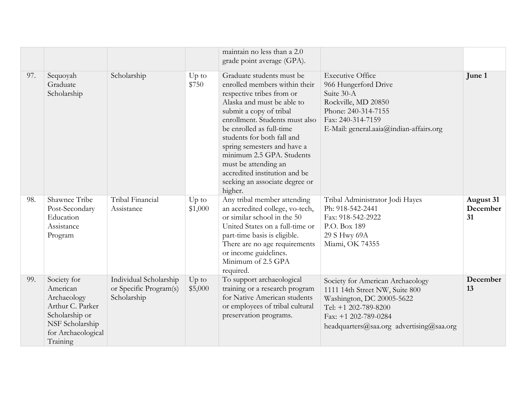|     |                                                                                                                                   |                                                                 |                    | maintain no less than a 2.0<br>grade point average (GPA).                                                                                                                                                                                                                                                                                                                                                      |                                                                                                                                                                                             |                             |
|-----|-----------------------------------------------------------------------------------------------------------------------------------|-----------------------------------------------------------------|--------------------|----------------------------------------------------------------------------------------------------------------------------------------------------------------------------------------------------------------------------------------------------------------------------------------------------------------------------------------------------------------------------------------------------------------|---------------------------------------------------------------------------------------------------------------------------------------------------------------------------------------------|-----------------------------|
| 97. | Sequoyah<br>Graduate<br>Scholarship                                                                                               | Scholarship                                                     | $Up$ to<br>\$750   | Graduate students must be<br>enrolled members within their<br>respective tribes from or<br>Alaska and must be able to<br>submit a copy of tribal<br>enrollment. Students must also<br>be enrolled as full-time<br>students for both fall and<br>spring semesters and have a<br>minimum 2.5 GPA. Students<br>must be attending an<br>accredited institution and be<br>seeking an associate degree or<br>higher. | <b>Executive Office</b><br>966 Hungerford Drive<br>Suite 30-A<br>Rockville, MD 20850<br>Phone: 240-314-7155<br>Fax: 240-314-7159<br>E-Mail: general.aaia@indian-affairs.org                 | June 1                      |
| 98. | Shawnee Tribe<br>Post-Secondary<br>Education<br>Assistance<br>Program                                                             | Tribal Financial<br>Assistance                                  | $Up$ to<br>\$1,000 | Any tribal member attending<br>an accredited college, vo-tech,<br>or similar school in the 50<br>United States on a full-time or<br>part-time basis is eligible.<br>There are no age requirements<br>or income guidelines.<br>Minimum of 2.5 GPA<br>required.                                                                                                                                                  | Tribal Administrator Jodi Hayes<br>Ph: 918-542-2441<br>Fax: 918-542-2922<br>P.O. Box 189<br>29 S Hwy 69A<br>Miami, OK 74355                                                                 | August 31<br>December<br>31 |
| 99. | Society for<br>American<br>Archaeology<br>Arthur C. Parker<br>Scholarship or<br>NSF Scholarship<br>for Archaeological<br>Training | Individual Scholarship<br>or Specific Program(s)<br>Scholarship | $Up$ to<br>\$5,000 | To support archaeological<br>training or a research program<br>for Native American students<br>or employees of tribal cultural<br>preservation programs.                                                                                                                                                                                                                                                       | Society for American Archaeology<br>1111 14th Street NW, Suite 800<br>Washington, DC 20005-5622<br>Tel: +1 202-789-8200<br>Fax: +1 202-789-0284<br>headquarters@saa.org advertising@saa.org | December<br>13              |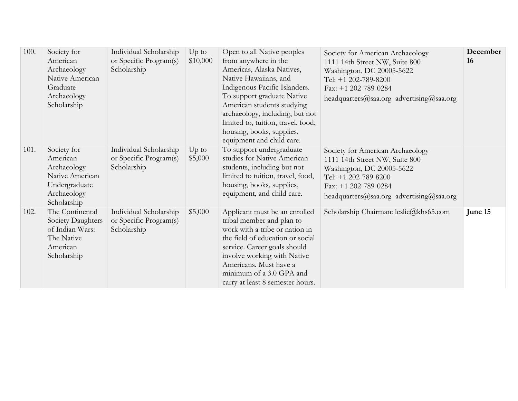| 100. | Society for<br>American<br>Archaeology<br>Native American<br>Graduate<br>Archaeology<br>Scholarship      | Individual Scholarship<br>or Specific Program(s)<br>Scholarship | $Up$ to<br>\$10,000 | Open to all Native peoples<br>from anywhere in the<br>Americas, Alaska Natives,<br>Native Hawaiians, and<br>Indigenous Pacific Islanders.<br>To support graduate Native<br>American students studying<br>archaeology, including, but not<br>limited to, tuition, travel, food,<br>housing, books, supplies,<br>equipment and child care. | Society for American Archaeology<br>1111 14th Street NW, Suite 800<br>Washington, DC 20005-5622<br>Tel: +1 202-789-8200<br>Fax: +1 202-789-0284<br>headquarters@saa.org advertising@saa.org | December<br>16 |
|------|----------------------------------------------------------------------------------------------------------|-----------------------------------------------------------------|---------------------|------------------------------------------------------------------------------------------------------------------------------------------------------------------------------------------------------------------------------------------------------------------------------------------------------------------------------------------|---------------------------------------------------------------------------------------------------------------------------------------------------------------------------------------------|----------------|
| 101. | Society for<br>American<br>Archaeology<br>Native American<br>Undergraduate<br>Archaeology<br>Scholarship | Individual Scholarship<br>or Specific Program(s)<br>Scholarship | $Up$ to<br>\$5,000  | To support undergraduate<br>studies for Native American<br>students, including but not<br>limited to tuition, travel, food,<br>housing, books, supplies,<br>equipment, and child care.                                                                                                                                                   | Society for American Archaeology<br>1111 14th Street NW, Suite 800<br>Washington, DC 20005-5622<br>Tel: +1 202-789-8200<br>Fax: +1 202-789-0284<br>headquarters@saa.org advertising@saa.org |                |
| 102. | The Continental<br>Society Daughters<br>of Indian Wars:<br>The Native<br>American<br>Scholarship         | Individual Scholarship<br>or Specific Program(s)<br>Scholarship | \$5,000             | Applicant must be an enrolled<br>tribal member and plan to<br>work with a tribe or nation in<br>the field of education or social<br>service. Career goals should<br>involve working with Native<br>Americans. Must have a<br>minimum of a 3.0 GPA and<br>carry at least 8 semester hours.                                                | Scholarship Chairman: leslie@khs65.com                                                                                                                                                      | June 15        |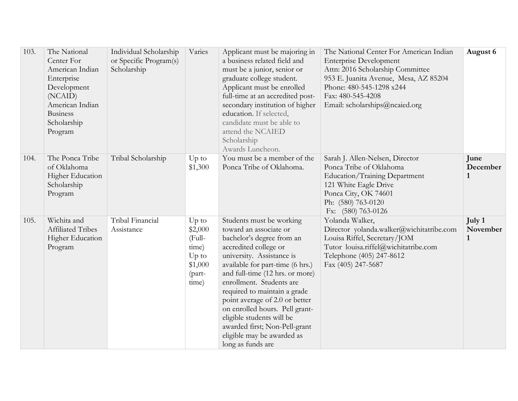| 103. | The National<br>Center For<br>American Indian<br>Enterprise<br>Development<br>(NCAID)<br>American Indian<br><b>Business</b><br>Scholarship<br>Program | Individual Scholarship<br>or Specific Program(s)<br>Scholarship | Varies                                                                         | Applicant must be majoring in<br>a business related field and<br>must be a junior, senior or<br>graduate college student.<br>Applicant must be enrolled<br>full-time at an accredited post-<br>secondary institution of higher<br>education. If selected,<br>candidate must be able to<br>attend the NCAIED<br>Scholarship<br>Awards Luncheon.                                                                                                                | The National Center For American Indian<br><b>Enterprise Development</b><br>Attn: 2016 Scholarship Committee<br>953 E. Juanita Avenue, Mesa, AZ 85204<br>Phone: 480-545-1298 x244<br>Fax: 480-545-4208<br>Email: scholarships@ncaied.org | August 6                         |
|------|-------------------------------------------------------------------------------------------------------------------------------------------------------|-----------------------------------------------------------------|--------------------------------------------------------------------------------|---------------------------------------------------------------------------------------------------------------------------------------------------------------------------------------------------------------------------------------------------------------------------------------------------------------------------------------------------------------------------------------------------------------------------------------------------------------|------------------------------------------------------------------------------------------------------------------------------------------------------------------------------------------------------------------------------------------|----------------------------------|
| 104. | The Ponca Tribe<br>of Oklahoma<br>Higher Education<br>Scholarship<br>Program                                                                          | Tribal Scholarship                                              | $Up$ to<br>\$1,300                                                             | You must be a member of the<br>Ponca Tribe of Oklahoma.                                                                                                                                                                                                                                                                                                                                                                                                       | Sarah J. Allen-Nelsen, Director<br>Ponca Tribe of Oklahoma<br>Education/Training Department<br>121 White Eagle Drive<br>Ponca City, OK 74601<br>Ph: (580) 763-0120<br>Fx: (580) 763-0126                                                 | June<br>December<br>$\mathbf{1}$ |
| 105. | Wichita and<br>Affiliated Tribes<br>Higher Education<br>Program                                                                                       | Tribal Financial<br>Assistance                                  | $Up$ to<br>\$2,000<br>(Full-<br>time)<br>$Up$ to<br>\$1,000<br>(part-<br>time) | Students must be working<br>toward an associate or<br>bachelor's degree from an<br>accredited college or<br>university. Assistance is<br>available for part-time (6 hrs.)<br>and full-time (12 hrs. or more)<br>enrollment. Students are<br>required to maintain a grade<br>point average of 2.0 or better<br>on enrolled hours. Pell grant-<br>eligible students will be<br>awarded first; Non-Pell-grant<br>eligible may be awarded as<br>long as funds are | Yolanda Walker,<br>Director yolanda.walker@wichitatribe.com<br>Louisa Riffel, Secretary/JOM<br>Tutor louisa.riffel@wichitatribe.com<br>Telephone (405) 247-8612<br>Fax (405) 247-5687                                                    | July 1<br>November<br>1          |